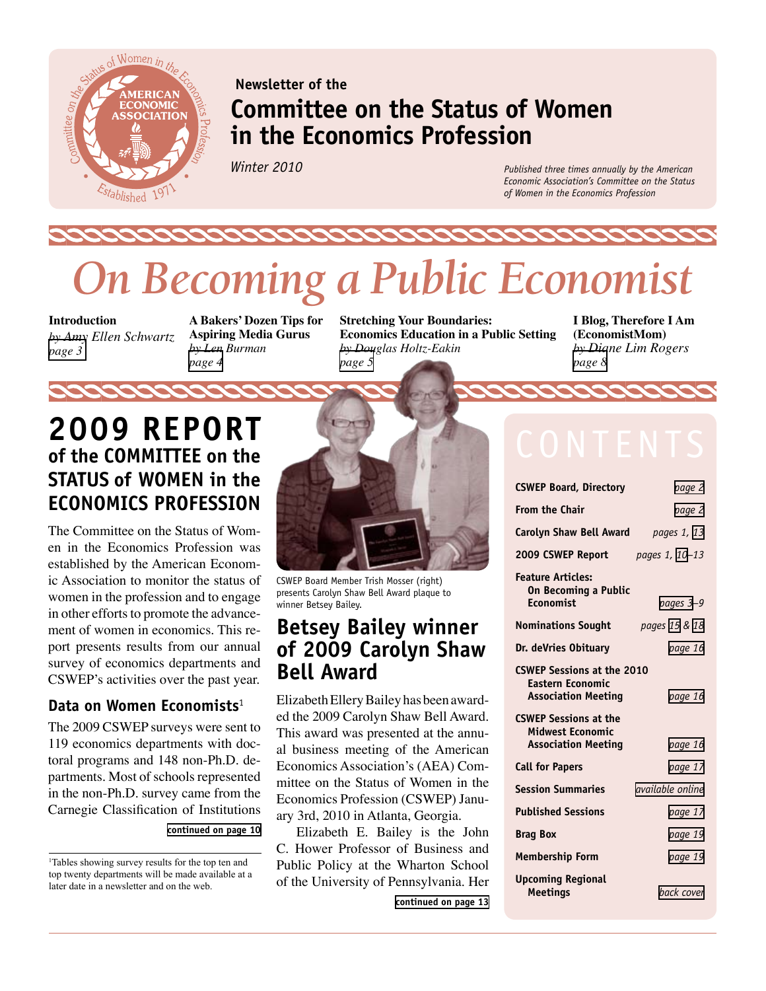

### **Newsletter of the Committee on the Status of Women in the Economics Profession**

*Winter 2010*

*Published three times annually by the American Economic Association's Committee on the Status of Women in the Economics Profession*

# *On Becoming a Public Economist*

**Introduction**  *by Amy Ellen Schwartz [page 3](#page-2-0)*

**A Bakers' Dozen Tips for Aspiring Media Gurus**  *by Len Burman [page 4](#page-3-0)*

**Stretching Your Boundaries: Economics Education in a Public Setting** *by Douglas Holtz-Eakin [page 5](#page-4-0)*

**I Blog, Therefore I Am (EconomistMom)** *by Diane Lim Rogers [page 8](#page-7-0)*

### **2009 Report of the COMMITTEE on the Status of Women in the Economics Profession**

The Committee on the Status of Women in the Economics Profession was established by the American Economic Association to monitor the status of women in the profession and to engage in other efforts to promote the advancement of women in economics. This report presents results from our annual survey of economics departments and CSWEP's activities over the past year.

### **Data on Women Economists**<sup>1</sup>

The 2009 CSWEP surveys were sent to 119 economics departments with doctoral programs and 148 non-Ph.D. departments. Most of schools represented in the non-Ph.D. survey came from the Carnegie Classification of Institutions

#### **[continued on page 10](#page-9-0)**



CSWEP Board Member Trish Mosser (right) presents Carolyn Shaw Bell Award plaque to winner Betsey Bailey.

### **Betsey Bailey winner of 2009 Carolyn Shaw Bell Award**

Elizabeth Ellery Bailey has been awarded the 2009 Carolyn Shaw Bell Award. This award was presented at the annual business meeting of the American Economics Association's (AEA) Committee on the Status of Women in the Economics Profession (CSWEP) January 3rd, 2010 in Atlanta, Georgia.

Elizabeth E. Bailey is the John C. Hower Professor of Business and Public Policy at the Wharton School of the University of Pennsylvania. Her

**[continued on page 13](#page-12-0)**

| <b>CSWEP Board, Directory</b>                                                              | page 2                  |
|--------------------------------------------------------------------------------------------|-------------------------|
| <b>From the Chair</b>                                                                      | page 2                  |
| Carolyn Shaw Bell Award                                                                    | pages 1, 13             |
| 2009 CSWEP Report                                                                          | pages 1, 10-13          |
| <b>Feature Articles:</b><br>On Becoming a Public<br>Economist                              | pages 3-9               |
| <b>Nominations Sought</b>                                                                  | pages 15 & 18           |
| Dr. deVries Obituary                                                                       | page 16                 |
| <b>CSWEP Sessions at the 2010</b><br><b>Eastern Economic</b><br><b>Association Meeting</b> | page 16                 |
| <b>CSWEP Sessions at the</b><br><b>Midwest Economic</b><br><b>Association Meeting</b>      | page 16                 |
| <b>Call for Papers</b>                                                                     | page 17                 |
| <b>Session Summaries</b>                                                                   | <i>available online</i> |
| <b>Published Sessions</b>                                                                  | page 17                 |
| <b>Brag Box</b>                                                                            | page 19                 |
| <b>Membership Form</b>                                                                     | page 19                 |
| <b>Upcoming Regional</b><br><b>Meetings</b>                                                | hack cover              |

<sup>1</sup> Tables showing survey results for the top ten and top twenty departments will be made available at a later date in a newsletter and on the web.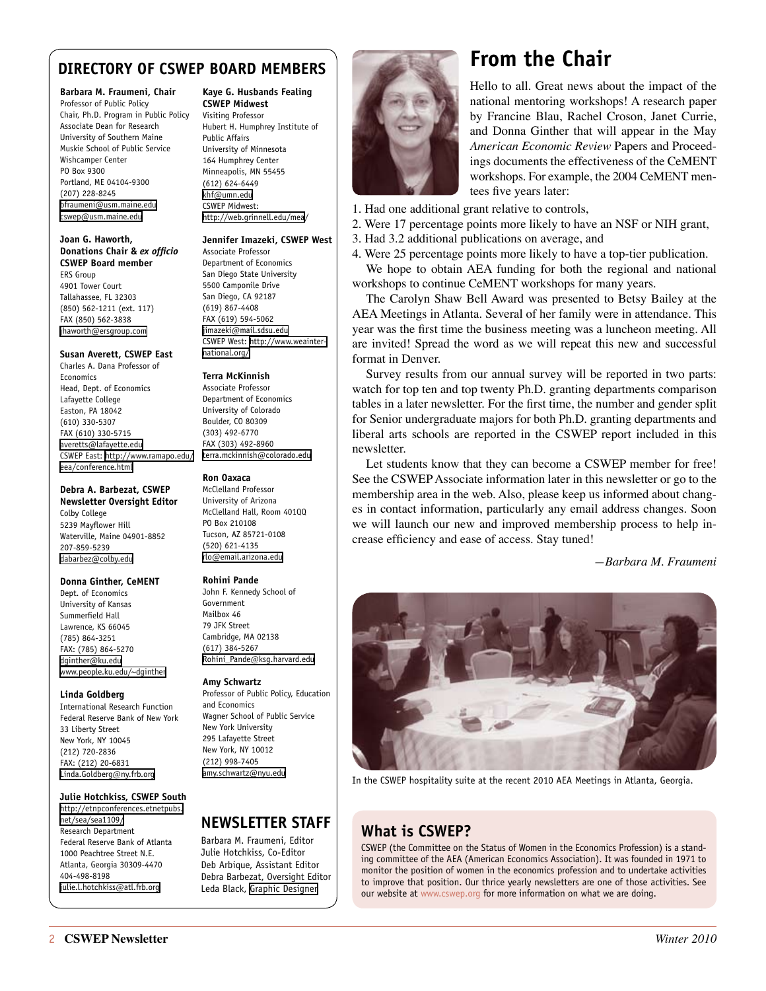### <span id="page-1-0"></span>**DIRECTORY OF CSWEP BOARD MEMBERS**

#### **Barbara M. Fraumeni, Chair**

Professor of Public Policy Chair, Ph.D. Program in Public Policy Associate Dean for Research University of Southern Maine Muskie School of Public Service Wishcamper Center PO Box 9300 Portland, ME 04104-9300 (207) 228-8245 [bfraumeni@usm.maine.edu](mailto:bfraumeni@usm.maine.edu) [cswep@usm.maine.edu](mailto:cswep@usm.maine.edu)

#### **Joan G. Haworth, Donations Chair &** *ex officio*  **CSWEP Board member**

ERS Group 4901 Tower Court Tallahassee, FL 32303 (850) 562-1211 (ext. 117) FAX (850) 562-3838 [jhaworth@ersgroup.com](mailto:jhaworth@ersgroup.com)

#### **Susan Averett, CSWEP East**

Charles A. Dana Professor of Economics Head, Dept. of Economics Lafayette College Easton, PA 18042 (610) 330-5307 FAX (610) 330-5715 [averetts@lafayette.edu](mailto:averetts@lafayette.edu) CSWEP East: [http://www.ramapo.edu/](http://www.ramapo.edu/eea/conference.html) [eea/conference.html](http://www.ramapo.edu/eea/conference.html)

#### **Debra A. Barbezat, CSWEP Newsletter Oversight Editor**

Colby College 5239 Mayflower Hill Waterville, Maine 04901-8852 207-859-5239 [dabarbez@colby.edu](mailto:dabarbez@colby.edu)

#### **Donna Ginther, CeMENT**

Dept. of Economics University of Kansas Summerfield Hall Lawrence, KS 66045 (785) 864-3251 FAX: (785) 864-5270 [dginther@ku.edu](mailto:dginther@ku.edu) [www.people.ku.edu/~dginther](http://www.people.ku.edu/~dginther)

#### **Linda Goldberg**

International Research Function Federal Reserve Bank of New York 33 Liberty Street New York, NY 10045 (212) 720-2836 FAX: (212) 20-6831 [Linda.Goldberg@ny.frb.org](mailto:Linda.Goldberg@ny.frb.org)

#### **Julie Hotchkiss, CSWEP South**

[http://etnpconferences.etnetpubs.](http://etnpconferences.etnetpubs.net/sea/sea1109/) [net/sea/sea1109/](http://etnpconferences.etnetpubs.net/sea/sea1109/) Research Department Federal Reserve Bank of Atlanta 1000 Peachtree Street N.E. Atlanta, Georgia 30309-4470 404-498-8198 [julie.l.hotchkiss@atl.frb.org](mailto:julie.l.hotchkiss@atl.frb.org)

### **Kaye G. Husbands Fealing**

**CSWEP Midwest**  Visiting Professor Hubert H. Humphrey Institute of Public Affairs University of Minnesota 164 Humphrey Center Minneapolis, MN 55455 (612) 624-6449 [khf@umn.edu](mailto:khf@umn.edu) CSWEP Midwest: <http://web.grinnell.edu/mea/>

#### **Jennifer Imazeki, CSWEP West**

Associate Professor Department of Economics San Diego State University 5500 Camponile Drive San Diego, CA 92187 (619) 867-4408 FAX (619) 594-5062 [jimazeki@mail.sdsu.edu](mailto:jimazeki@mail.sdsu.edu) CSWEP West: [http://www.weainter](http://www.weainternational.org/)[national.org/](http://www.weainternational.org/)

#### **Terra McKinnish**

Associate Professor Department of Economics University of Colorado Boulder, CO 80309 (303) 492-6770 FAX (303) 492-8960 [terra.mckinnish@colorado.edu](mailto:terra.mckinnish@colorado.edu)

#### **Ron Oaxaca**

McClelland Professor University of Arizona McClelland Hall, Room 401QQ PO Box 210108 Tucson, AZ 85721-0108 (520) 621-4135 [rlo@email.arizona.edu](mailto:rlo@email.arizona.edu)

#### **Rohini Pande**

John F. Kennedy School of Government Mailbox 46 79 JFK Street Cambridge, MA 02138 (617) 384-5267 [Rohini\\_Pande@ksg.harvard.edu](mailto:Rohini_Pande@ksg.harvard.edu)

#### **Amy Schwartz**

Professor of Public Policy, Education and Economics Wagner School of Public Service New York University 295 Lafayette Street New York, NY 10012 (212) 998-7405 [amy.schwartz@nyu.edu](mailto:amy.schwartz@nyu.edu)

### **NEWSLETTER STAFF**

Barbara M. Fraumeni, Editor Julie Hotchkiss, Co-Editor Deb Arbique, Assistant Editor Debra Barbezat, Oversight Editor Leda Black, [Graphic Designer]( http://knowledgetown.com/)



### <span id="page-1-1"></span>**From the Chair**

Hello to all. Great news about the impact of the national mentoring workshops! A research paper by Francine Blau, Rachel Croson, Janet Currie, and Donna Ginther that will appear in the May *American Economic Review* Papers and Proceedings documents the effectiveness of the CeMENT workshops. For example, the 2004 CeMENT mentees five years later:

- 1. Had one additional grant relative to controls,
- 2. Were 17 percentage points more likely to have an NSF or NIH grant,
- 3. Had 3.2 additional publications on average, and
- 4. Were 25 percentage points more likely to have a top-tier publication.

We hope to obtain AEA funding for both the regional and national workshops to continue CeMENT workshops for many years.

The Carolyn Shaw Bell Award was presented to Betsy Bailey at the AEA Meetings in Atlanta. Several of her family were in attendance. This year was the first time the business meeting was a luncheon meeting. All are invited! Spread the word as we will repeat this new and successful format in Denver.

Survey results from our annual survey will be reported in two parts: watch for top ten and top twenty Ph.D. granting departments comparison tables in a later newsletter. For the first time, the number and gender split for Senior undergraduate majors for both Ph.D. granting departments and liberal arts schools are reported in the CSWEP report included in this newsletter.

Let students know that they can become a CSWEP member for free! See the CSWEP Associate information later in this newsletter or go to the membership area in the web. Also, please keep us informed about changes in contact information, particularly any email address changes. Soon we will launch our new and improved membership process to help increase efficiency and ease of access. Stay tuned!

*—Barbara M. Fraumeni*



In the CSWEP hospitality suite at the recent 2010 AEA Meetings in Atlanta, Georgia.

### **What is CSWEP?**

CSWEP (the Committee on the Status of Women in the Economics Profession) is a standing committee of the AEA (American Economics Association). It was founded in 1971 to monitor the position of women in the economics profession and to undertake activities to improve that position. Our thrice yearly newsletters are one of those activities. See our website at [www.cswep.org](http://www.cswep.org) for more information on what we are doing.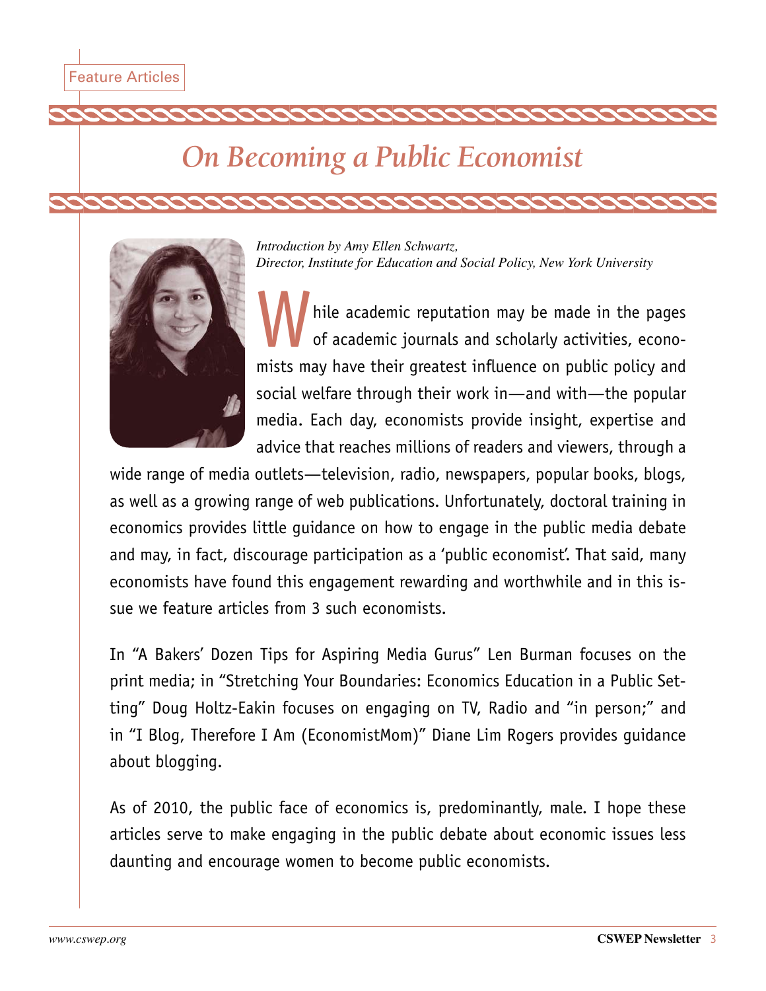# <span id="page-2-0"></span>*On Becoming a Public Economist*



*Introduction by Amy Ellen Schwartz, Director, Institute for Education and Social Policy, New York University*

hile academic reputation may be made in the pages of academic journals and scholarly activities, economists may have their greatest influence on public policy and social welfare through their work in—and with—the popular media. Each day, economists provide insight, expertise and advice that reaches millions of readers and viewers, through a

wide range of media outlets—television, radio, newspapers, popular books, blogs, as well as a growing range of web publications. Unfortunately, doctoral training in economics provides little guidance on how to engage in the public media debate and may, in fact, discourage participation as a 'public economist'. That said, many economists have found this engagement rewarding and worthwhile and in this issue we feature articles from 3 such economists.

In "A Bakers' Dozen Tips for Aspiring Media Gurus" Len Burman focuses on the print media; in "Stretching Your Boundaries: Economics Education in a Public Setting" Doug Holtz-Eakin focuses on engaging on TV, Radio and "in person;" and in "I Blog, Therefore I Am (EconomistMom)" Diane Lim Rogers provides guidance about blogging.

As of 2010, the public face of economics is, predominantly, male. I hope these articles serve to make engaging in the public debate about economic issues less daunting and encourage women to become public economists.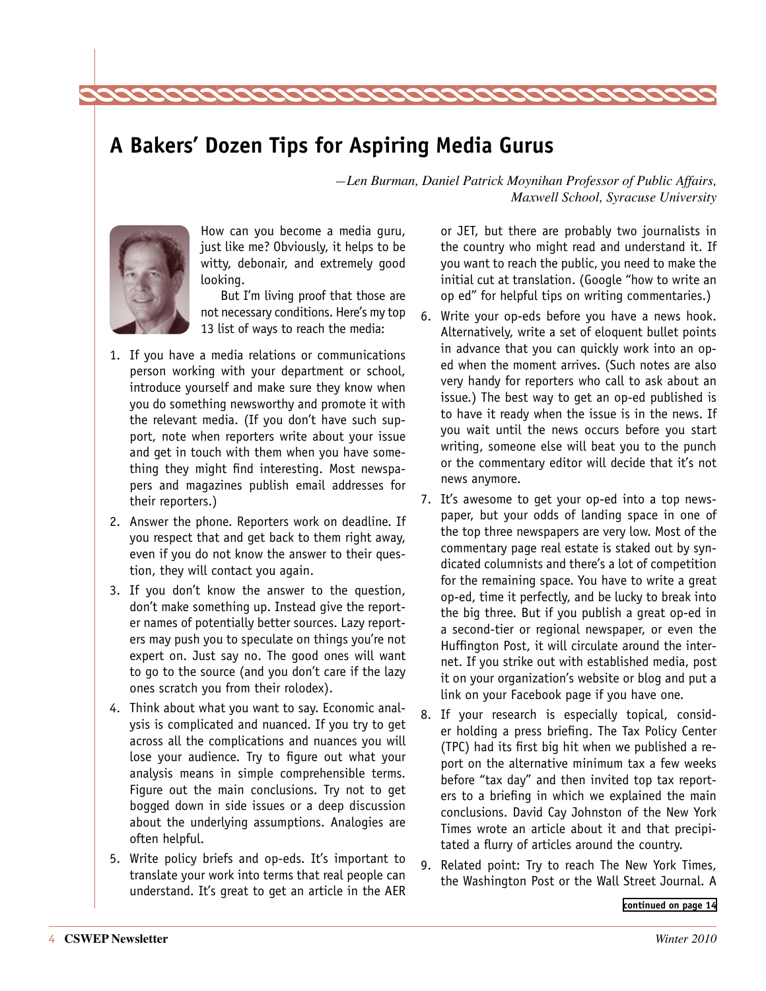### <span id="page-3-0"></span>**A Bakers' Dozen Tips for Aspiring Media Gurus**

*—Len Burman, Daniel Patrick Moynihan Professor of Public Affairs, Maxwell School, Syracuse University*



How can you become a media guru, just like me? Obviously, it helps to be witty, debonair, and extremely good looking.

But I'm living proof that those are not necessary conditions. Here's my top 13 list of ways to reach the media:

- 1. If you have a media relations or communications person working with your department or school, introduce yourself and make sure they know when you do something newsworthy and promote it with the relevant media. (If you don't have such support, note when reporters write about your issue and get in touch with them when you have something they might find interesting. Most newspapers and magazines publish email addresses for their reporters.)
- 2. Answer the phone. Reporters work on deadline. If you respect that and get back to them right away, even if you do not know the answer to their question, they will contact you again.
- 3. If you don't know the answer to the question, don't make something up. Instead give the reporter names of potentially better sources. Lazy reporters may push you to speculate on things you're not expert on. Just say no. The good ones will want to go to the source (and you don't care if the lazy ones scratch you from their rolodex).
- 4. Think about what you want to say. Economic analysis is complicated and nuanced. If you try to get across all the complications and nuances you will lose your audience. Try to figure out what your analysis means in simple comprehensible terms. Figure out the main conclusions. Try not to get bogged down in side issues or a deep discussion about the underlying assumptions. Analogies are often helpful.
- 5. Write policy briefs and op-eds. It's important to translate your work into terms that real people can understand. It's great to get an article in the AER

or JET, but there are probably two journalists in the country who might read and understand it. If you want to reach the public, you need to make the initial cut at translation. (Google "how to write an op ed" for helpful tips on writing commentaries.)

- 6. Write your op-eds before you have a news hook. Alternatively, write a set of eloquent bullet points in advance that you can quickly work into an oped when the moment arrives. (Such notes are also very handy for reporters who call to ask about an issue.) The best way to get an op-ed published is to have it ready when the issue is in the news. If you wait until the news occurs before you start writing, someone else will beat you to the punch or the commentary editor will decide that it's not news anymore.
- 7. It's awesome to get your op-ed into a top newspaper, but your odds of landing space in one of the top three newspapers are very low. Most of the commentary page real estate is staked out by syndicated columnists and there's a lot of competition for the remaining space. You have to write a great op-ed, time it perfectly, and be lucky to break into the big three. But if you publish a great op-ed in a second-tier or regional newspaper, or even the Huffington Post, it will circulate around the internet. If you strike out with established media, post it on your organization's website or blog and put a link on your Facebook page if you have one.
- 8. If your research is especially topical, consider holding a press briefing. The Tax Policy Center (TPC) had its first big hit when we published a report on the alternative minimum tax a few weeks before "tax day" and then invited top tax reporters to a briefing in which we explained the main conclusions. David Cay Johnston of the New York Times wrote an article about it and that precipitated a flurry of articles around the country.
- 9. Related point: Try to reach The New York Times, the Washington Post or the Wall Street Journal. A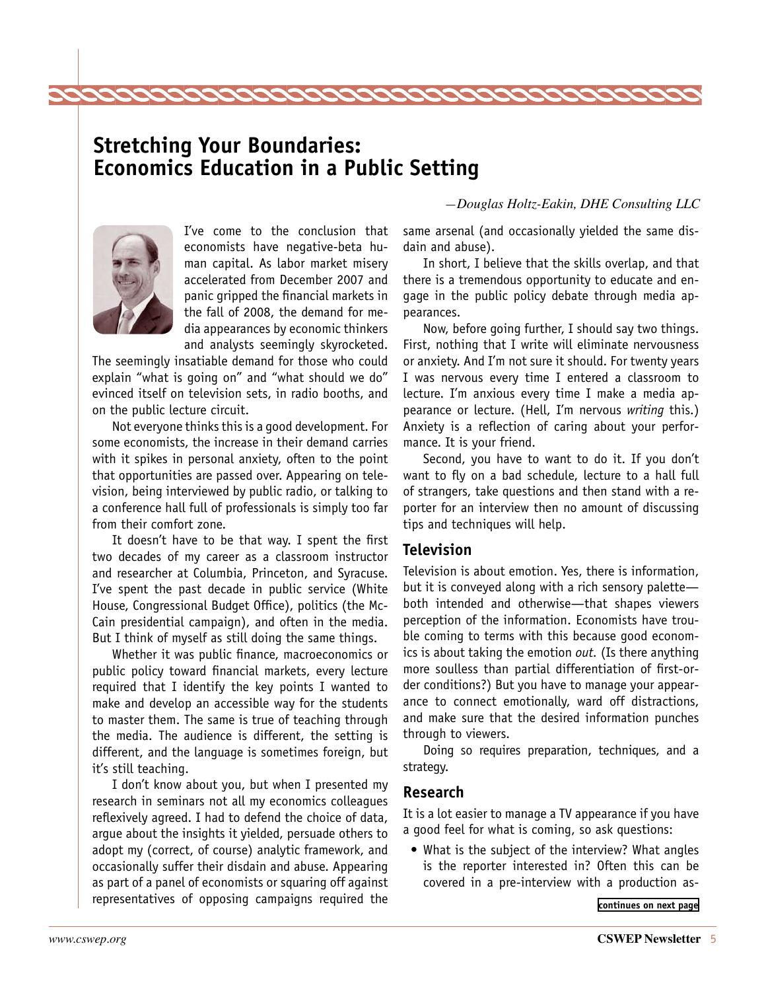### <span id="page-4-0"></span>**Stretching Your Boundaries: Economics Education in a Public Setting**

22222222222

*—Douglas Holtz-Eakin, DHE Consulting LLC*



I've come to the conclusion that economists have negative-beta human capital. As labor market misery accelerated from December 2007 and panic gripped the financial markets in the fall of 2008, the demand for media appearances by economic thinkers and analysts seemingly skyrocketed.

The seemingly insatiable demand for those who could explain "what is going on" and "what should we do" evinced itself on television sets, in radio booths, and on the public lecture circuit.

Not everyone thinks this is a good development. For some economists, the increase in their demand carries with it spikes in personal anxiety, often to the point that opportunities are passed over. Appearing on television, being interviewed by public radio, or talking to a conference hall full of professionals is simply too far from their comfort zone.

It doesn't have to be that way. I spent the first two decades of my career as a classroom instructor and researcher at Columbia, Princeton, and Syracuse. I've spent the past decade in public service (White House, Congressional Budget Office), politics (the Mc-Cain presidential campaign), and often in the media. But I think of myself as still doing the same things.

Whether it was public finance, macroeconomics or public policy toward financial markets, every lecture required that I identify the key points I wanted to make and develop an accessible way for the students to master them. The same is true of teaching through the media. The audience is different, the setting is different, and the language is sometimes foreign, but it's still teaching.

I don't know about you, but when I presented my research in seminars not all my economics colleagues reflexively agreed. I had to defend the choice of data, argue about the insights it yielded, persuade others to adopt my (correct, of course) analytic framework, and occasionally suffer their disdain and abuse. Appearing as part of a panel of economists or squaring off against representatives of opposing campaigns required the **continues** [continues on next page](#page-5-0)

same arsenal (and occasionally yielded the same disdain and abuse).

In short, I believe that the skills overlap, and that there is a tremendous opportunity to educate and engage in the public policy debate through media appearances.

Now, before going further, I should say two things. First, nothing that I write will eliminate nervousness or anxiety. And I'm not sure it should. For twenty years I was nervous every time I entered a classroom to lecture. I'm anxious every time I make a media appearance or lecture. (Hell, I'm nervous *writing* this.) Anxiety is a reflection of caring about your performance. It is your friend.

Second, you have to want to do it. If you don't want to fly on a bad schedule, lecture to a hall full of strangers, take questions and then stand with a reporter for an interview then no amount of discussing tips and techniques will help.

### **Television**

Television is about emotion. Yes, there is information, but it is conveyed along with a rich sensory palette both intended and otherwise—that shapes viewers perception of the information. Economists have trouble coming to terms with this because good economics is about taking the emotion *out.* (Is there anything more soulless than partial differentiation of first-order conditions?) But you have to manage your appearance to connect emotionally, ward off distractions, and make sure that the desired information punches through to viewers.

Doing so requires preparation, techniques, and a strategy.

### **Research**

It is a lot easier to manage a TV appearance if you have a good feel for what is coming, so ask questions:

• What is the subject of the interview? What angles is the reporter interested in? Often this can be covered in a pre-interview with a production as-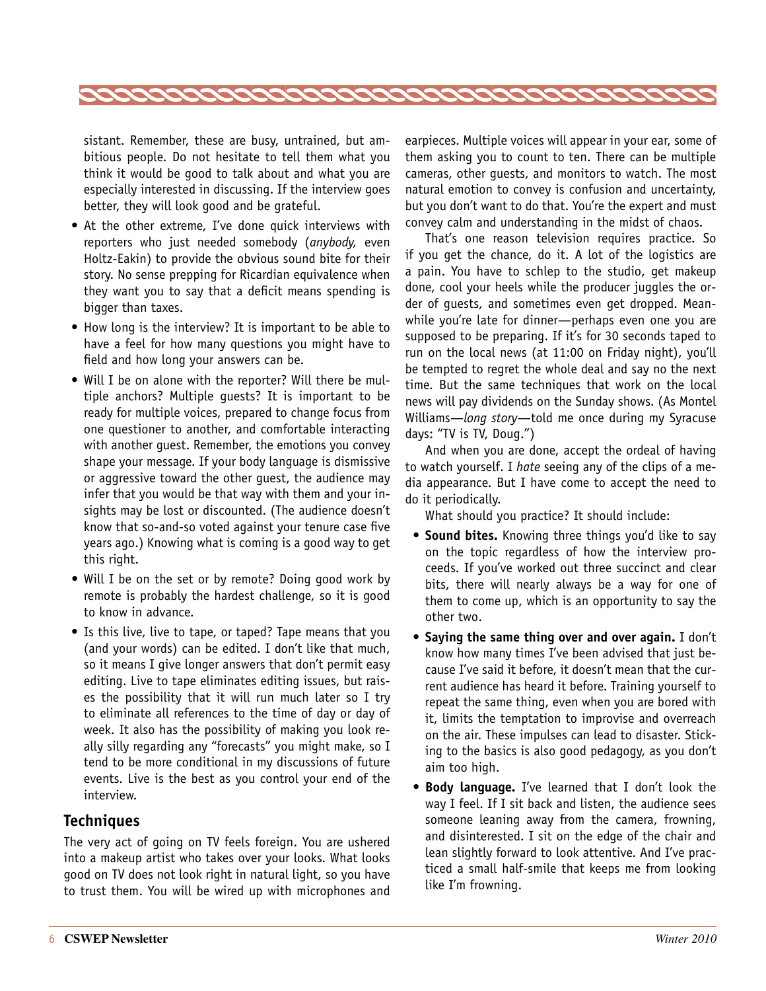<span id="page-5-0"></span>

sistant. Remember, these are busy, untrained, but ambitious people. Do not hesitate to tell them what you think it would be good to talk about and what you are especially interested in discussing. If the interview goes better, they will look good and be grateful.

- At the other extreme, I've done quick interviews with reporters who just needed somebody (*anybody,* even Holtz-Eakin) to provide the obvious sound bite for their story. No sense prepping for Ricardian equivalence when they want you to say that a deficit means spending is bigger than taxes.
- How long is the interview? It is important to be able to have a feel for how many questions you might have to field and how long your answers can be.
- Will I be on alone with the reporter? Will there be multiple anchors? Multiple guests? It is important to be ready for multiple voices, prepared to change focus from one questioner to another, and comfortable interacting with another guest. Remember, the emotions you convey shape your message. If your body language is dismissive or aggressive toward the other guest, the audience may infer that you would be that way with them and your insights may be lost or discounted. (The audience doesn't know that so-and-so voted against your tenure case five years ago.) Knowing what is coming is a good way to get this right.
- Will I be on the set or by remote? Doing good work by remote is probably the hardest challenge, so it is good to know in advance.
- Is this live, live to tape, or taped? Tape means that you (and your words) can be edited. I don't like that much, so it means I give longer answers that don't permit easy editing. Live to tape eliminates editing issues, but raises the possibility that it will run much later so I try to eliminate all references to the time of day or day of week. It also has the possibility of making you look really silly regarding any "forecasts" you might make, so I tend to be more conditional in my discussions of future events. Live is the best as you control your end of the interview.

### **Techniques**

The very act of going on TV feels foreign. You are ushered into a makeup artist who takes over your looks. What looks good on TV does not look right in natural light, so you have to trust them. You will be wired up with microphones and

earpieces. Multiple voices will appear in your ear, some of them asking you to count to ten. There can be multiple cameras, other guests, and monitors to watch. The most natural emotion to convey is confusion and uncertainty, but you don't want to do that. You're the expert and must convey calm and understanding in the midst of chaos.

That's one reason television requires practice. So if you get the chance, do it. A lot of the logistics are a pain. You have to schlep to the studio, get makeup done, cool your heels while the producer juggles the order of guests, and sometimes even get dropped. Meanwhile you're late for dinner—perhaps even one you are supposed to be preparing. If it's for 30 seconds taped to run on the local news (at 11:00 on Friday night), you'll be tempted to regret the whole deal and say no the next time. But the same techniques that work on the local news will pay dividends on the Sunday shows. (As Montel Williams—*long story*—told me once during my Syracuse days: "TV is TV, Doug.")

And when you are done, accept the ordeal of having to watch yourself. I *hate* seeing any of the clips of a media appearance. But I have come to accept the need to do it periodically.

What should you practice? It should include:

- **Sound bites.** Knowing three things you'd like to say on the topic regardless of how the interview proceeds. If you've worked out three succinct and clear bits, there will nearly always be a way for one of them to come up, which is an opportunity to say the other two.
- • **Saying the same thing over and over again.** I don't know how many times I've been advised that just because I've said it before, it doesn't mean that the current audience has heard it before. Training yourself to repeat the same thing, even when you are bored with it, limits the temptation to improvise and overreach on the air. These impulses can lead to disaster. Sticking to the basics is also good pedagogy, as you don't aim too high.
- • **Body language.** I've learned that I don't look the way I feel. If I sit back and listen, the audience sees someone leaning away from the camera, frowning, and disinterested. I sit on the edge of the chair and lean slightly forward to look attentive. And I've practiced a small half-smile that keeps me from looking like I'm frowning.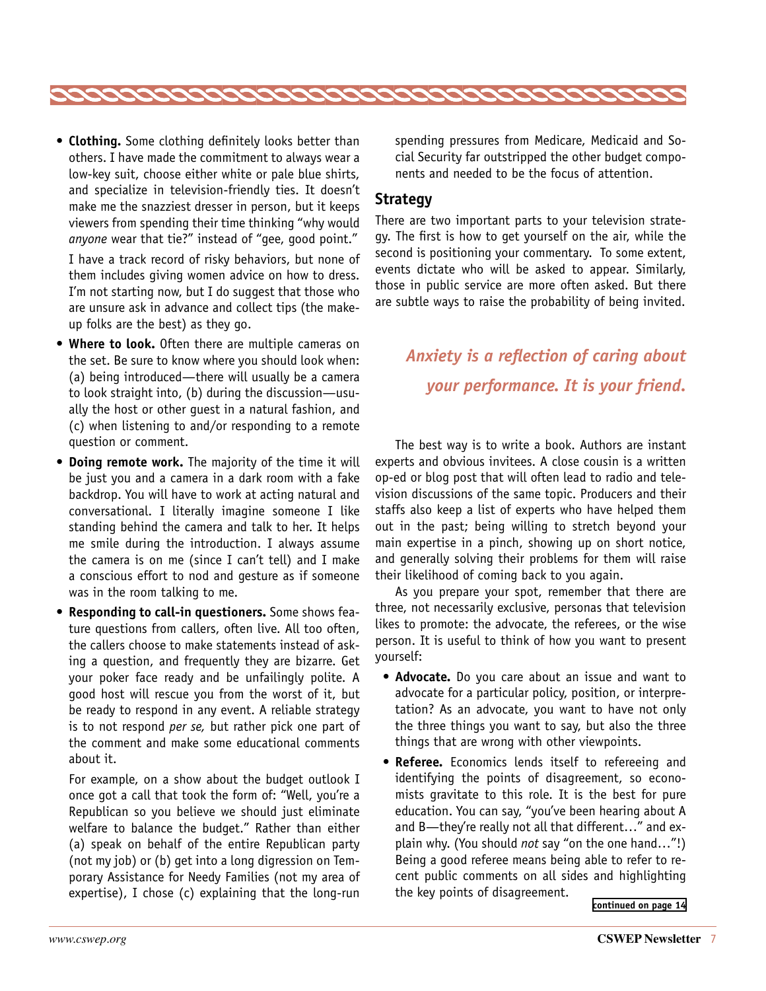

**• Clothing.** Some clothing definitely looks better than others. I have made the commitment to always wear a low-key suit, choose either white or pale blue shirts, and specialize in television-friendly ties. It doesn't make me the snazziest dresser in person, but it keeps viewers from spending their time thinking "why would *anyone* wear that tie?" instead of "gee, good point."

 I have a track record of risky behaviors, but none of them includes giving women advice on how to dress. I'm not starting now, but I do suggest that those who are unsure ask in advance and collect tips (the makeup folks are the best) as they go.

- • **Where to look.** Often there are multiple cameras on the set. Be sure to know where you should look when: (a) being introduced—there will usually be a camera to look straight into, (b) during the discussion—usually the host or other guest in a natural fashion, and (c) when listening to and/or responding to a remote question or comment.
- • **Doing remote work.** The majority of the time it will be just you and a camera in a dark room with a fake backdrop. You will have to work at acting natural and conversational. I literally imagine someone I like standing behind the camera and talk to her. It helps me smile during the introduction. I always assume the camera is on me (since I can't tell) and I make a conscious effort to nod and gesture as if someone was in the room talking to me.
- • **Responding to call-in questioners.** Some shows feature questions from callers, often live. All too often, the callers choose to make statements instead of asking a question, and frequently they are bizarre. Get your poker face ready and be unfailingly polite. A good host will rescue you from the worst of it, but be ready to respond in any event. A reliable strategy is to not respond *per se,* but rather pick one part of the comment and make some educational comments about it.

 For example, on a show about the budget outlook I once got a call that took the form of: "Well, you're a Republican so you believe we should just eliminate welfare to balance the budget." Rather than either (a) speak on behalf of the entire Republican party (not my job) or (b) get into a long digression on Temporary Assistance for Needy Families (not my area of expertise), I chose (c) explaining that the long-run

spending pressures from Medicare, Medicaid and Social Security far outstripped the other budget components and needed to be the focus of attention.

### **Strategy**

There are two important parts to your television strategy. The first is how to get yourself on the air, while the second is positioning your commentary. To some extent, events dictate who will be asked to appear. Similarly, those in public service are more often asked. But there are subtle ways to raise the probability of being invited.

### *Anxiety is a reflection of caring about your performance. It is your friend.*

The best way is to write a book. Authors are instant experts and obvious invitees. A close cousin is a written op-ed or blog post that will often lead to radio and television discussions of the same topic. Producers and their staffs also keep a list of experts who have helped them out in the past; being willing to stretch beyond your main expertise in a pinch, showing up on short notice, and generally solving their problems for them will raise their likelihood of coming back to you again.

As you prepare your spot, remember that there are three, not necessarily exclusive, personas that television likes to promote: the advocate, the referees, or the wise person. It is useful to think of how you want to present yourself:

- **Advocate.** Do you care about an issue and want to advocate for a particular policy, position, or interpretation? As an advocate, you want to have not only the three things you want to say, but also the three things that are wrong with other viewpoints.
- • **Referee.** Economics lends itself to refereeing and identifying the points of disagreement, so economists gravitate to this role. It is the best for pure education. You can say, "you've been hearing about A and B—they're really not all that different…" and explain why. (You should *not* say "on the one hand…"!) Being a good referee means being able to refer to recent public comments on all sides and highlighting the key points of disagreement.

**[continued on page 14](#page-13-1)**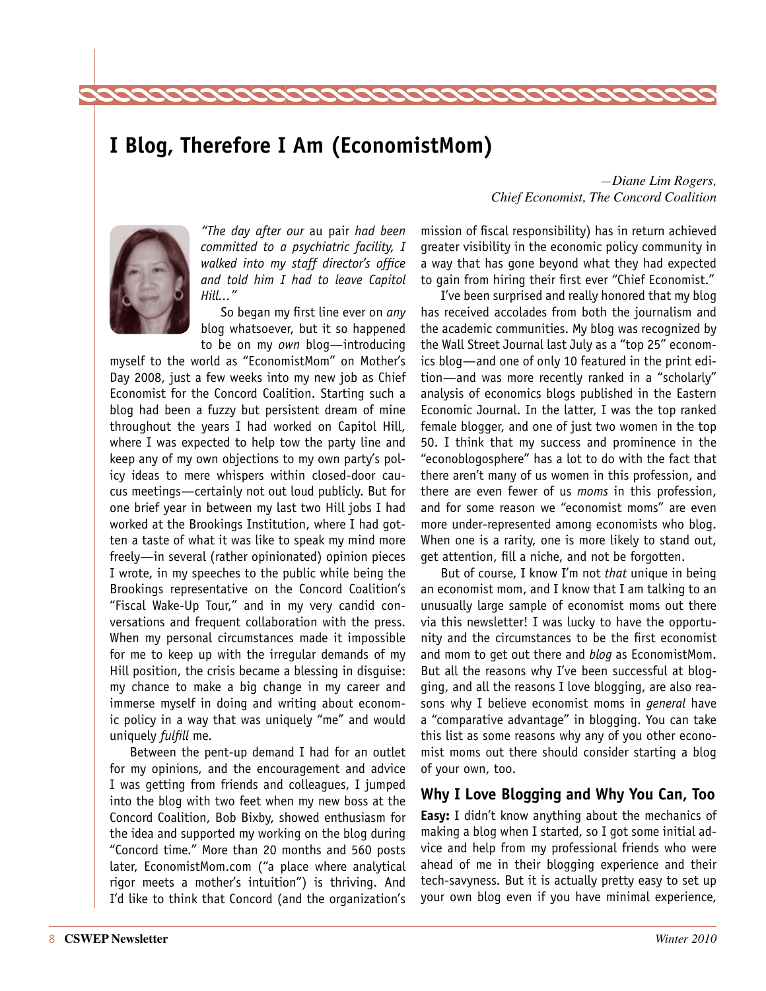### <span id="page-7-0"></span>**I Blog, Therefore I Am (EconomistMom)**



*"The day after our* au pair *had been committed to a psychiatric facility, I walked into my staff director's office and told him I had to leave Capitol Hill..."*

So began my first line ever on *any* blog whatsoever, but it so happened to be on my *own* blog—introducing

myself to the world as "EconomistMom" on Mother's Day 2008, just a few weeks into my new job as Chief Economist for the Concord Coalition. Starting such a blog had been a fuzzy but persistent dream of mine throughout the years I had worked on Capitol Hill, where I was expected to help tow the party line and keep any of my own objections to my own party's policy ideas to mere whispers within closed-door caucus meetings—certainly not out loud publicly. But for one brief year in between my last two Hill jobs I had worked at the Brookings Institution, where I had gotten a taste of what it was like to speak my mind more freely—in several (rather opinionated) opinion pieces I wrote, in my speeches to the public while being the Brookings representative on the Concord Coalition's "Fiscal Wake-Up Tour," and in my very candid conversations and frequent collaboration with the press. When my personal circumstances made it impossible for me to keep up with the irregular demands of my Hill position, the crisis became a blessing in disguise: my chance to make a big change in my career and immerse myself in doing and writing about economic policy in a way that was uniquely "me" and would uniquely *fulfill* me.

Between the pent-up demand I had for an outlet for my opinions, and the encouragement and advice I was getting from friends and colleagues, I jumped into the blog with two feet when my new boss at the Concord Coalition, Bob Bixby, showed enthusiasm for the idea and supported my working on the blog during "Concord time." More than 20 months and 560 posts later, EconomistMom.com ("a place where analytical rigor meets a mother's intuition") is thriving. And I'd like to think that Concord (and the organization's

#### *—Diane Lim Rogers, Chief Economist, The Concord Coalition*

mission of fiscal responsibility) has in return achieved greater visibility in the economic policy community in a way that has gone beyond what they had expected to gain from hiring their first ever "Chief Economist."

I've been surprised and really honored that my blog has received accolades from both the journalism and the academic communities. My blog was recognized by the Wall Street Journal last July as a "top 25" economics blog—and one of only 10 featured in the print edition—and was more recently ranked in a "scholarly" analysis of economics blogs published in the Eastern Economic Journal. In the latter, I was the top ranked female blogger, and one of just two women in the top 50. I think that my success and prominence in the "econoblogosphere" has a lot to do with the fact that there aren't many of us women in this profession, and there are even fewer of us *moms* in this profession, and for some reason we "economist moms" are even more under-represented among economists who blog. When one is a rarity, one is more likely to stand out, get attention, fill a niche, and not be forgotten.

But of course, I know I'm not *that* unique in being an economist mom, and I know that I am talking to an unusually large sample of economist moms out there via this newsletter! I was lucky to have the opportunity and the circumstances to be the first economist and mom to get out there and *blog* as EconomistMom. But all the reasons why I've been successful at blogging, and all the reasons I love blogging, are also reasons why I believe economist moms in *general* have a "comparative advantage" in blogging. You can take this list as some reasons why any of you other economist moms out there should consider starting a blog of your own, too.

### **Why I Love Blogging and Why You Can, Too**

**Easy:** I didn't know anything about the mechanics of making a blog when I started, so I got some initial advice and help from my professional friends who were ahead of me in their blogging experience and their tech-savyness. But it is actually pretty easy to set up your own blog even if you have minimal experience,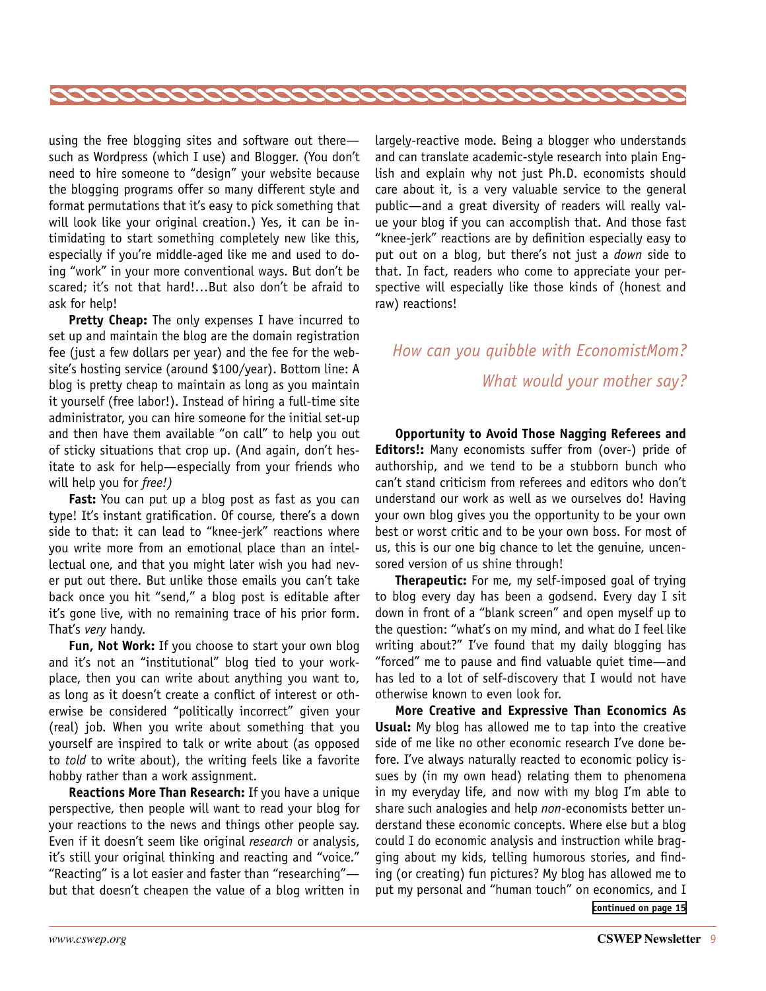

using the free blogging sites and software out there such as Wordpress (which I use) and Blogger. (You don't need to hire someone to "design" your website because the blogging programs offer so many different style and format permutations that it's easy to pick something that will look like your original creation.) Yes, it can be intimidating to start something completely new like this, especially if you're middle-aged like me and used to doing "work" in your more conventional ways. But don't be scared; it's not that hard!…But also don't be afraid to ask for help!

**Pretty Cheap:** The only expenses I have incurred to set up and maintain the blog are the domain registration fee (just a few dollars per year) and the fee for the website's hosting service (around \$100/year). Bottom line: A blog is pretty cheap to maintain as long as you maintain it yourself (free labor!). Instead of hiring a full-time site administrator, you can hire someone for the initial set-up and then have them available "on call" to help you out of sticky situations that crop up. (And again, don't hesitate to ask for help—especially from your friends who will help you for *free!)*

**Fast:** You can put up a blog post as fast as you can type! It's instant gratification. Of course, there's a down side to that: it can lead to "knee-jerk" reactions where you write more from an emotional place than an intellectual one, and that you might later wish you had never put out there. But unlike those emails you can't take back once you hit "send," a blog post is editable after it's gone live, with no remaining trace of his prior form. That's *very* handy.

**Fun, Not Work:** If you choose to start your own blog and it's not an "institutional" blog tied to your workplace, then you can write about anything you want to, as long as it doesn't create a conflict of interest or otherwise be considered "politically incorrect" given your (real) job. When you write about something that you yourself are inspired to talk or write about (as opposed to *told* to write about), the writing feels like a favorite hobby rather than a work assignment.

**Reactions More Than Research:** If you have a unique perspective, then people will want to read your blog for your reactions to the news and things other people say. Even if it doesn't seem like original *research* or analysis, it's still your original thinking and reacting and "voice." "Reacting" is a lot easier and faster than "researching" but that doesn't cheapen the value of a blog written in largely-reactive mode. Being a blogger who understands and can translate academic-style research into plain English and explain why not just Ph.D. economists should care about it, is a very valuable service to the general public—and a great diversity of readers will really value your blog if you can accomplish that. And those fast "knee-jerk" reactions are by definition especially easy to put out on a blog, but there's not just a *down* side to that. In fact, readers who come to appreciate your perspective will especially like those kinds of (honest and raw) reactions!

### *How can you quibble with EconomistMom? What would your mother say?*

**Opportunity to Avoid Those Nagging Referees and Editors!:** Many economists suffer from (over-) pride of authorship, and we tend to be a stubborn bunch who can't stand criticism from referees and editors who don't understand our work as well as we ourselves do! Having your own blog gives you the opportunity to be your own best or worst critic and to be your own boss. For most of us, this is our one big chance to let the genuine, uncensored version of us shine through!

**Therapeutic:** For me, my self-imposed goal of trying to blog every day has been a godsend. Every day I sit down in front of a "blank screen" and open myself up to the question: "what's on my mind, and what do I feel like writing about?" I've found that my daily blogging has "forced" me to pause and find valuable quiet time—and has led to a lot of self-discovery that I would not have otherwise known to even look for.

**More Creative and Expressive Than Economics As Usual:** My blog has allowed me to tap into the creative side of me like no other economic research I've done before. I've always naturally reacted to economic policy issues by (in my own head) relating them to phenomena in my everyday life, and now with my blog I'm able to share such analogies and help *non*-economists better understand these economic concepts. Where else but a blog could I do economic analysis and instruction while bragging about my kids, telling humorous stories, and finding (or creating) fun pictures? My blog has allowed me to put my personal and "human touch" on economics, and I **[continued on page 15](#page-14-1)**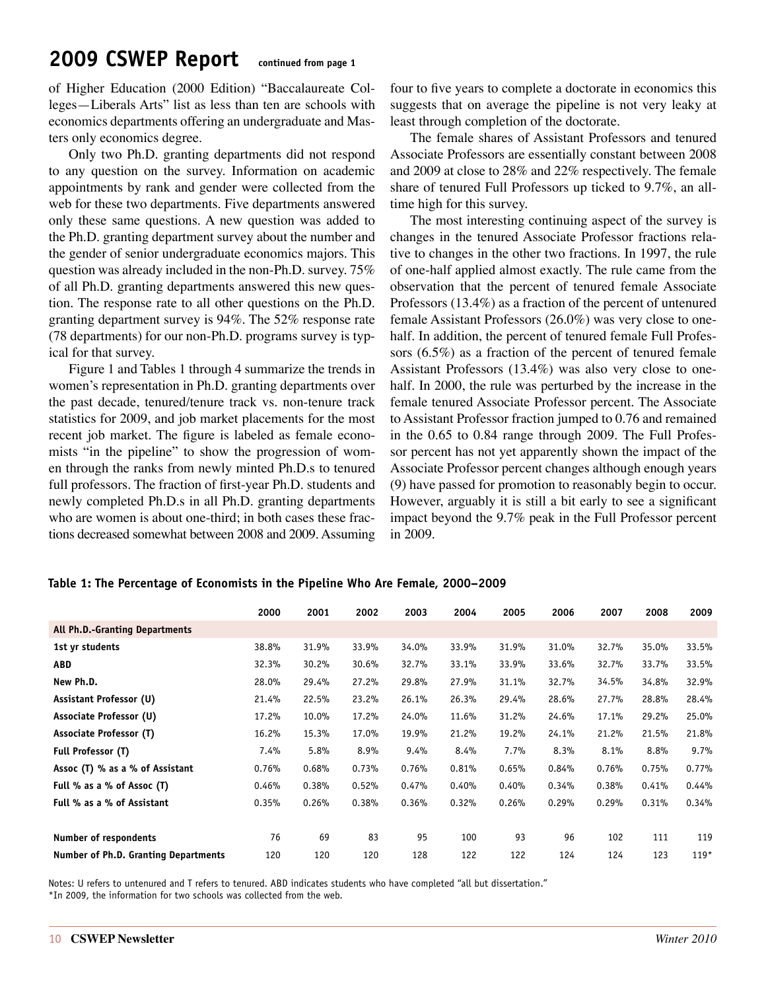### <span id="page-9-0"></span>**2009 CSWEP Report continued from page 1**

of Higher Education (2000 Edition) "Baccalaureate Colleges—Liberals Arts" list as less than ten are schools with economics departments offering an undergraduate and Masters only economics degree.

Only two Ph.D. granting departments did not respond to any question on the survey. Information on academic appointments by rank and gender were collected from the web for these two departments. Five departments answered only these same questions. A new question was added to the Ph.D. granting department survey about the number and the gender of senior undergraduate economics majors. This question was already included in the non-Ph.D. survey. 75% of all Ph.D. granting departments answered this new question. The response rate to all other questions on the Ph.D. granting department survey is 94%. The 52% response rate (78 departments) for our non-Ph.D. programs survey is typical for that survey.

Figure 1 and Tables 1 through 4 summarize the trends in women's representation in Ph.D. granting departments over the past decade, tenured/tenure track vs. non-tenure track statistics for 2009, and job market placements for the most recent job market. The figure is labeled as female economists "in the pipeline" to show the progression of women through the ranks from newly minted Ph.D.s to tenured full professors. The fraction of first-year Ph.D. students and newly completed Ph.D.s in all Ph.D. granting departments who are women is about one-third; in both cases these fractions decreased somewhat between 2008 and 2009. Assuming

four to five years to complete a doctorate in economics this suggests that on average the pipeline is not very leaky at least through completion of the doctorate.

The female shares of Assistant Professors and tenured Associate Professors are essentially constant between 2008 and 2009 at close to 28% and 22% respectively. The female share of tenured Full Professors up ticked to 9.7%, an alltime high for this survey.

The most interesting continuing aspect of the survey is changes in the tenured Associate Professor fractions relative to changes in the other two fractions. In 1997, the rule of one-half applied almost exactly. The rule came from the observation that the percent of tenured female Associate Professors (13.4%) as a fraction of the percent of untenured female Assistant Professors (26.0%) was very close to onehalf. In addition, the percent of tenured female Full Professors (6.5%) as a fraction of the percent of tenured female Assistant Professors (13.4%) was also very close to onehalf. In 2000, the rule was perturbed by the increase in the female tenured Associate Professor percent. The Associate to Assistant Professor fraction jumped to 0.76 and remained in the 0.65 to 0.84 range through 2009. The Full Professor percent has not yet apparently shown the impact of the Associate Professor percent changes although enough years (9) have passed for promotion to reasonably begin to occur. However, arguably it is still a bit early to see a significant impact beyond the 9.7% peak in the Full Professor percent in 2009.

|                                      | 2000  | 2001  | 2002  | 2003  | 2004  | 2005  | 2006  | 2007  | 2008  | 2009   |
|--------------------------------------|-------|-------|-------|-------|-------|-------|-------|-------|-------|--------|
| All Ph.D.-Granting Departments       |       |       |       |       |       |       |       |       |       |        |
| 1st yr students                      | 38.8% | 31.9% | 33.9% | 34.0% | 33.9% | 31.9% | 31.0% | 32.7% | 35.0% | 33.5%  |
| <b>ABD</b>                           | 32.3% | 30.2% | 30.6% | 32.7% | 33.1% | 33.9% | 33.6% | 32.7% | 33.7% | 33.5%  |
| New Ph.D.                            | 28.0% | 29.4% | 27.2% | 29.8% | 27.9% | 31.1% | 32.7% | 34.5% | 34.8% | 32.9%  |
| Assistant Professor (U)              | 21.4% | 22.5% | 23.2% | 26.1% | 26.3% | 29.4% | 28.6% | 27.7% | 28.8% | 28.4%  |
| Associate Professor (U)              | 17.2% | 10.0% | 17.2% | 24.0% | 11.6% | 31.2% | 24.6% | 17.1% | 29.2% | 25.0%  |
| Associate Professor (T)              | 16.2% | 15.3% | 17.0% | 19.9% | 21.2% | 19.2% | 24.1% | 21.2% | 21.5% | 21.8%  |
| Full Professor (T)                   | 7.4%  | 5.8%  | 8.9%  | 9.4%  | 8.4%  | 7.7%  | 8.3%  | 8.1%  | 8.8%  | 9.7%   |
| Assoc (T) % as a % of Assistant      | 0.76% | 0.68% | 0.73% | 0.76% | 0.81% | 0.65% | 0.84% | 0.76% | 0.75% | 0.77%  |
| Full % as a % of Assoc (T)           | 0.46% | 0.38% | 0.52% | 0.47% | 0.40% | 0.40% | 0.34% | 0.38% | 0.41% | 0.44%  |
| Full % as a % of Assistant           | 0.35% | 0.26% | 0.38% | 0.36% | 0.32% | 0.26% | 0.29% | 0.29% | 0.31% | 0.34%  |
|                                      |       |       |       |       |       |       |       |       |       |        |
| Number of respondents                | 76    | 69    | 83    | 95    | 100   | 93    | 96    | 102   | 111   | 119    |
| Number of Ph.D. Granting Departments | 120   | 120   | 120   | 128   | 122   | 122   | 124   | 124   | 123   | $119*$ |

### **Table 1: The Percentage of Economists in the Pipeline Who Are Female, 2000–2009**

Notes: U refers to untenured and T refers to tenured. ABD indicates students who have completed "all but dissertation."

\*In 2009, the information for two schools was collected from the web.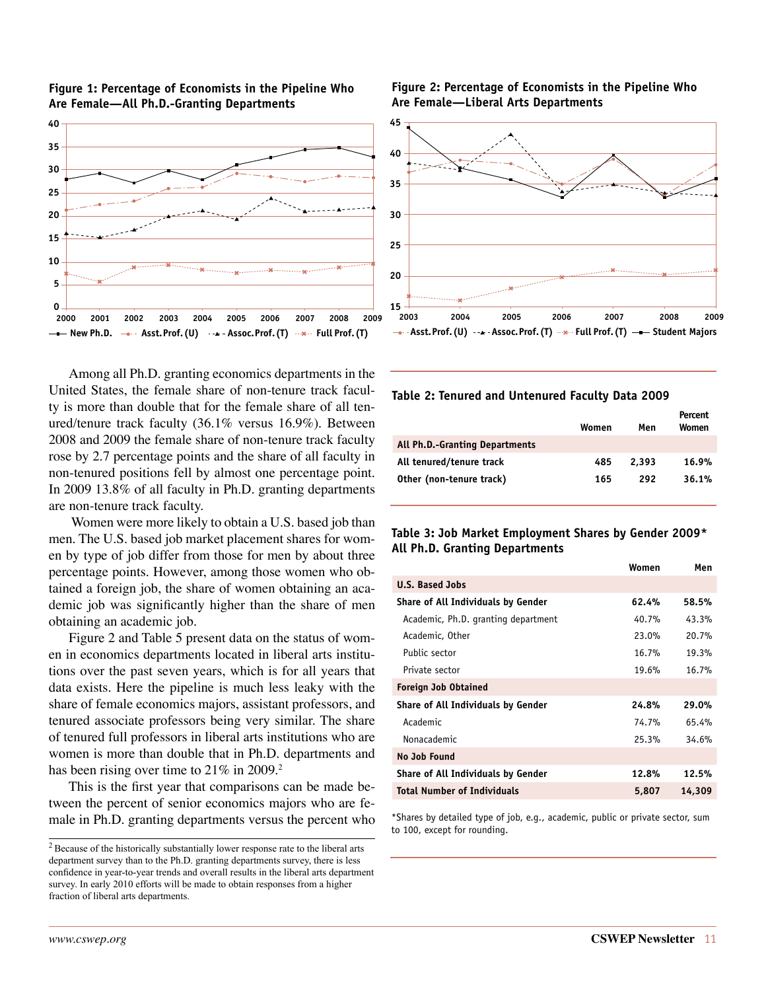



Among all Ph.D. granting economics departments in the United States, the female share of non-tenure track faculty is more than double that for the female share of all tenured/tenure track faculty (36.1% versus 16.9%). Between 2008 and 2009 the female share of non-tenure track faculty rose by 2.7 percentage points and the share of all faculty in non-tenured positions fell by almost one percentage point. In 2009 13.8% of all faculty in Ph.D. granting departments are non-tenure track faculty.

 Women were more likely to obtain a U.S. based job than men. The U.S. based job market placement shares for women by type of job differ from those for men by about three percentage points. However, among those women who obtained a foreign job, the share of women obtaining an academic job was significantly higher than the share of men obtaining an academic job.

Figure 2 and Table 5 present data on the status of women in economics departments located in liberal arts institutions over the past seven years, which is for all years that data exists. Here the pipeline is much less leaky with the share of female economics majors, assistant professors, and tenured associate professors being very similar. The share of tenured full professors in liberal arts institutions who are women is more than double that in Ph.D. departments and has been rising over time to  $21\%$  in 2009.<sup>2</sup>

This is the first year that comparisons can be made between the percent of senior economics majors who are female in Ph.D. granting departments versus the percent who

#### **Figure 2: Percentage of Economists in the Pipeline Who Are Female—Liberal Arts Departments**



#### **Table 2: Tenured and Untenured Faculty Data 2009**

|                                       | Women | Men   | Percent<br>Women |
|---------------------------------------|-------|-------|------------------|
| <b>All Ph.D.-Granting Departments</b> |       |       |                  |
| All tenured/tenure track              | 485   | 2,393 | 16.9%            |
| Other (non-tenure track)              | 165   | 292   | 36.1%            |

#### **Table 3: Job Market Employment Shares by Gender 2009\* All Ph.D. Granting Departments**

|                                     | Women | Men    |
|-------------------------------------|-------|--------|
| <b>U.S. Based Jobs</b>              |       |        |
| Share of All Individuals by Gender  | 62.4% | 58.5%  |
| Academic, Ph.D. granting department | 40.7% | 43.3%  |
| Academic, Other                     | 23.0% | 20.7%  |
| Public sector                       | 16.7% | 19.3%  |
| Private sector                      | 19.6% | 16.7%  |
| <b>Foreign Job Obtained</b>         |       |        |
| Share of All Individuals by Gender  | 24.8% | 29.0%  |
| Academic                            | 74.7% | 65.4%  |
| Nonacademic                         | 25.3% | 34.6%  |
| No Job Found                        |       |        |
| Share of All Individuals by Gender  | 12.8% | 12.5%  |
| <b>Total Number of Individuals</b>  | 5,807 | 14,309 |

\*Shares by detailed type of job, e.g., academic, public or private sector, sum to 100, except for rounding.

<sup>2</sup> Because of the historically substantially lower response rate to the liberal arts department survey than to the Ph.D. granting departments survey, there is less confidence in year-to-year trends and overall results in the liberal arts department survey. In early 2010 efforts will be made to obtain responses from a higher fraction of liberal arts departments.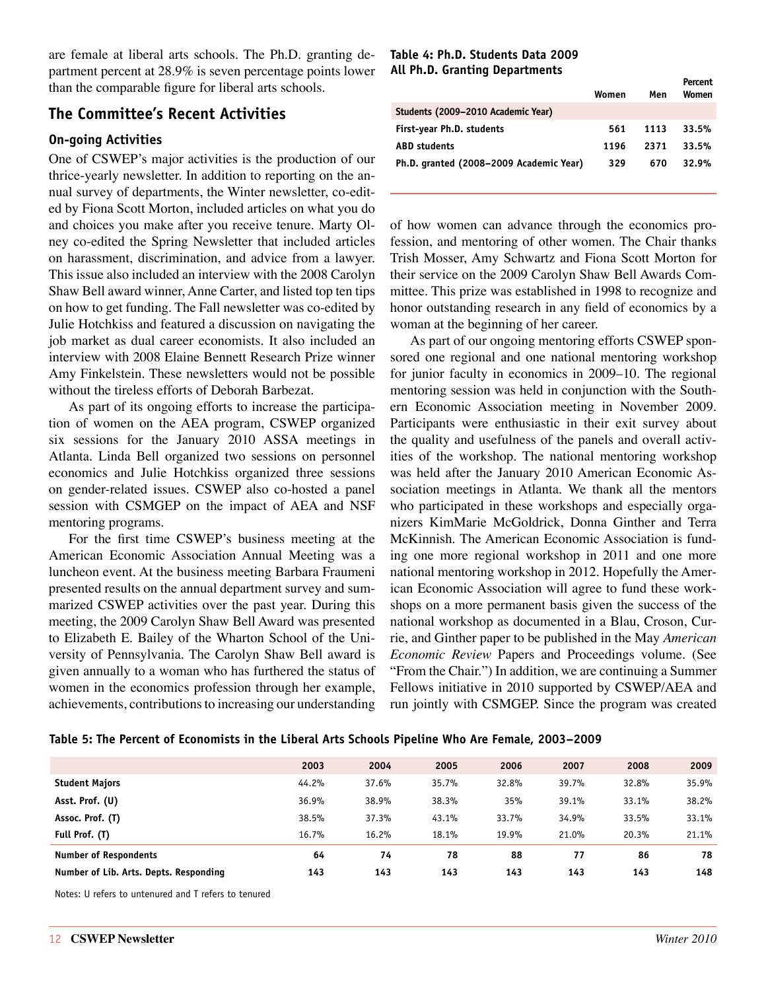are female at liberal arts schools. The Ph.D. granting department percent at 28.9% is seven percentage points lower than the comparable figure for liberal arts schools.

### **The Committee's Recent Activities**

### **On-going Activities**

One of CSWEP's major activities is the production of our thrice-yearly newsletter. In addition to reporting on the annual survey of departments, the Winter newsletter, co-edited by Fiona Scott Morton, included articles on what you do and choices you make after you receive tenure. Marty Olney co-edited the Spring Newsletter that included articles on harassment, discrimination, and advice from a lawyer. This issue also included an interview with the 2008 Carolyn Shaw Bell award winner, Anne Carter, and listed top ten tips on how to get funding. The Fall newsletter was co-edited by Julie Hotchkiss and featured a discussion on navigating the job market as dual career economists. It also included an interview with 2008 Elaine Bennett Research Prize winner Amy Finkelstein. These newsletters would not be possible without the tireless efforts of Deborah Barbezat.

As part of its ongoing efforts to increase the participation of women on the AEA program, CSWEP organized six sessions for the January 2010 ASSA meetings in Atlanta. Linda Bell organized two sessions on personnel economics and Julie Hotchkiss organized three sessions on gender-related issues. CSWEP also co-hosted a panel session with CSMGEP on the impact of AEA and NSF mentoring programs.

For the first time CSWEP's business meeting at the American Economic Association Annual Meeting was a luncheon event. At the business meeting Barbara Fraumeni presented results on the annual department survey and summarized CSWEP activities over the past year. During this meeting, the 2009 Carolyn Shaw Bell Award was presented to Elizabeth E. Bailey of the Wharton School of the University of Pennsylvania. The Carolyn Shaw Bell award is given annually to a woman who has furthered the status of women in the economics profession through her example, achievements, contributions to increasing our understanding

#### **Table 4: Ph.D. Students Data 2009 All Ph.D. Granting Departments**

|                                         | Women | Men  | Percent<br>Women |
|-----------------------------------------|-------|------|------------------|
| Students (2009-2010 Academic Year)      |       |      |                  |
| First-year Ph.D. students               | 561   | 1113 | 33.5%            |
| <b>ABD</b> students                     | 1196  | 2371 | 33.5%            |
| Ph.D. granted (2008-2009 Academic Year) | 329   | 670  | 32.9%            |
|                                         |       |      |                  |

of how women can advance through the economics profession, and mentoring of other women. The Chair thanks Trish Mosser, Amy Schwartz and Fiona Scott Morton for their service on the 2009 Carolyn Shaw Bell Awards Committee. This prize was established in 1998 to recognize and honor outstanding research in any field of economics by a woman at the beginning of her career.

As part of our ongoing mentoring efforts CSWEP sponsored one regional and one national mentoring workshop for junior faculty in economics in 2009–10. The regional mentoring session was held in conjunction with the Southern Economic Association meeting in November 2009. Participants were enthusiastic in their exit survey about the quality and usefulness of the panels and overall activities of the workshop. The national mentoring workshop was held after the January 2010 American Economic Association meetings in Atlanta. We thank all the mentors who participated in these workshops and especially organizers KimMarie McGoldrick, Donna Ginther and Terra McKinnish. The American Economic Association is funding one more regional workshop in 2011 and one more national mentoring workshop in 2012. Hopefully the American Economic Association will agree to fund these workshops on a more permanent basis given the success of the national workshop as documented in a Blau, Croson, Currie, and Ginther paper to be published in the May *American Economic Review* Papers and Proceedings volume. (See "From the Chair.") In addition, we are continuing a Summer Fellows initiative in 2010 supported by CSWEP/AEA and run jointly with CSMGEP. Since the program was created

|                                        | 2003  | 2004  | 2005  | 2006  | 2007  | 2008  | 2009  |
|----------------------------------------|-------|-------|-------|-------|-------|-------|-------|
| <b>Student Majors</b>                  | 44.2% | 37.6% | 35.7% | 32.8% | 39.7% | 32.8% | 35.9% |
| Asst. Prof. (U)                        | 36.9% | 38.9% | 38.3% | 35%   | 39.1% | 33.1% | 38.2% |
| Assoc. Prof. (T)                       | 38.5% | 37.3% | 43.1% | 33.7% | 34.9% | 33.5% | 33.1% |
| Full Prof. (T)                         | 16.7% | 16.2% | 18.1% | 19.9% | 21.0% | 20.3% | 21.1% |
| <b>Number of Respondents</b>           | 64    | 74    | 78    | 88    | 77    | 86    | 78    |
| Number of Lib. Arts. Depts. Responding | 143   | 143   | 143   | 143   | 143   | 143   | 148   |
|                                        |       |       |       |       |       |       |       |

Notes: U refers to untenured and T refers to tenured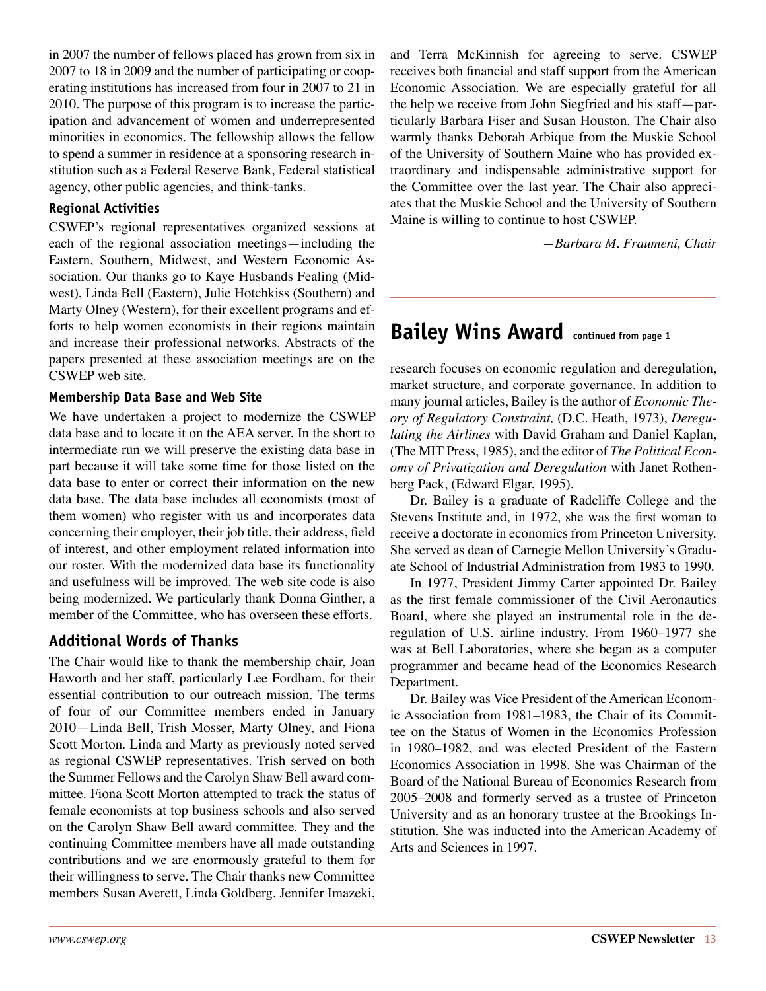in 2007 the number of fellows placed has grown from six in 2007 to 18 in 2009 and the number of participating or cooperating institutions has increased from four in 2007 to 21 in 2010. The purpose of this program is to increase the participation and advancement of women and underrepresented minorities in economics. The fellowship allows the fellow to spend a summer in residence at a sponsoring research institution such as a Federal Reserve Bank, Federal statistical agency, other public agencies, and think-tanks.

#### **Regional Activities**

CSWEP's regional representatives organized sessions at each of the regional association meetings—including the Eastern, Southern, Midwest, and Western Economic Association. Our thanks go to Kaye Husbands Fealing (Midwest), Linda Bell (Eastern), Julie Hotchkiss (Southern) and Marty Olney (Western), for their excellent programs and efforts to help women economists in their regions maintain and increase their professional networks. Abstracts of the papers presented at these association meetings are on the CSWEP web site.

#### **Membership Data Base and Web Site**

We have undertaken a project to modernize the CSWEP data base and to locate it on the AEA server. In the short to intermediate run we will preserve the existing data base in part because it will take some time for those listed on the data base to enter or correct their information on the new data base. The data base includes all economists (most of them women) who register with us and incorporates data concerning their employer, their job title, their address, field of interest, and other employment related information into our roster. With the modernized data base its functionality and usefulness will be improved. The web site code is also being modernized. We particularly thank Donna Ginther, a member of the Committee, who has overseen these efforts.

### **Additional Words of Thanks**

The Chair would like to thank the membership chair, Joan Haworth and her staff, particularly Lee Fordham, for their essential contribution to our outreach mission. The terms of four of our Committee members ended in January 2010—Linda Bell, Trish Mosser, Marty Olney, and Fiona Scott Morton. Linda and Marty as previously noted served as regional CSWEP representatives. Trish served on both the Summer Fellows and the Carolyn Shaw Bell award committee. Fiona Scott Morton attempted to track the status of female economists at top business schools and also served on the Carolyn Shaw Bell award committee. They and the continuing Committee members have all made outstanding contributions and we are enormously grateful to them for their willingness to serve. The Chair thanks new Committee members Susan Averett, Linda Goldberg, Jennifer Imazeki, and Terra McKinnish for agreeing to serve. CSWEP receives both financial and staff support from the American Economic Association. We are especially grateful for all the help we receive from John Siegfried and his staff—particularly Barbara Fiser and Susan Houston. The Chair also warmly thanks Deborah Arbique from the Muskie School of the University of Southern Maine who has provided extraordinary and indispensable administrative support for the Committee over the last year. The Chair also appreciates that the Muskie School and the University of Southern Maine is willing to continue to host CSWEP.

*—Barbara M. Fraumeni, Chair*

### <span id="page-12-0"></span>**Bailey Wins Award continued from page 1**

research focuses on economic regulation and deregulation, market structure, and corporate governance. In addition to many journal articles, Bailey is the author of *Economic Theory of Regulatory Constraint,* (D.C. Heath, 1973), *Deregulating the Airlines* with David Graham and Daniel Kaplan, (The MIT Press, 1985), and the editor of *The Political Economy of Privatization and Deregulation* with Janet Rothenberg Pack, (Edward Elgar, 1995).

Dr. Bailey is a graduate of Radcliffe College and the Stevens Institute and, in 1972, she was the first woman to receive a doctorate in economics from Princeton University. She served as dean of Carnegie Mellon University's Graduate School of Industrial Administration from 1983 to 1990.

In 1977, President Jimmy Carter appointed Dr. Bailey as the first female commissioner of the Civil Aeronautics Board, where she played an instrumental role in the deregulation of U.S. airline industry. From 1960–1977 she was at Bell Laboratories, where she began as a computer programmer and became head of the Economics Research Department.

Dr. Bailey was Vice President of the American Economic Association from 1981–1983, the Chair of its Committee on the Status of Women in the Economics Profession in 1980–1982, and was elected President of the Eastern Economics Association in 1998. She was Chairman of the Board of the National Bureau of Economics Research from 2005–2008 and formerly served as a trustee of Princeton University and as an honorary trustee at the Brookings Institution. She was inducted into the American Academy of Arts and Sciences in 1997.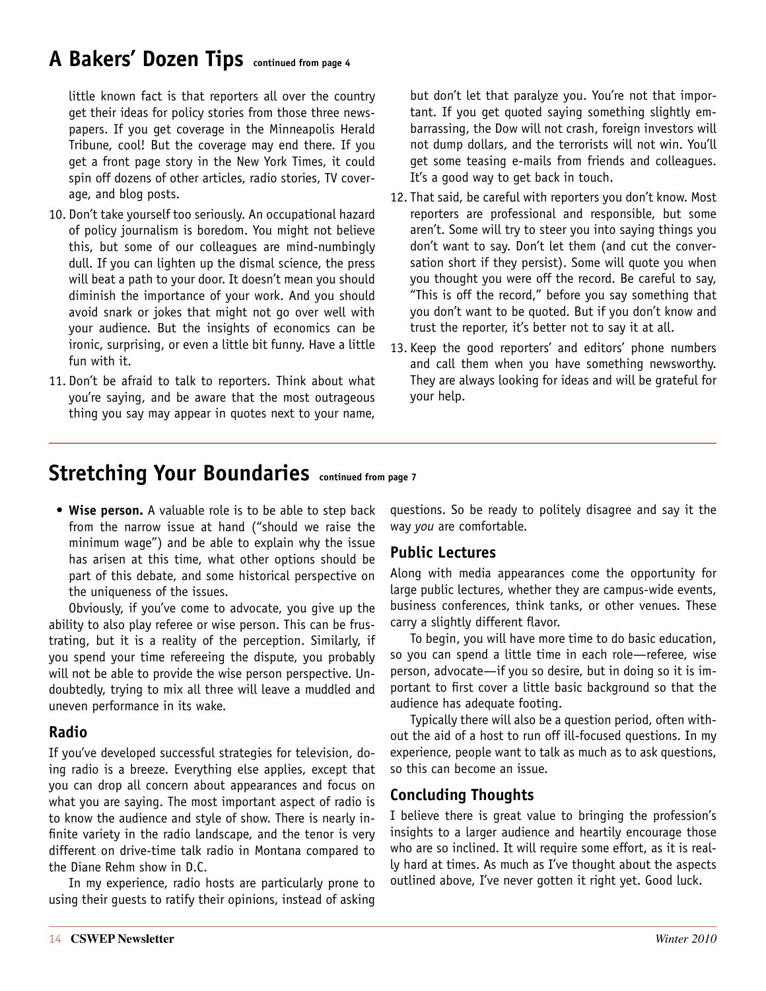### <span id="page-13-0"></span>**A Bakers' Dozen Tips continued from page 4**

little known fact is that reporters all over the country get their ideas for policy stories from those three newspapers. If you get coverage in the Minneapolis Herald Tribune, cool! But the coverage may end there. If you get a front page story in the New York Times, it could spin off dozens of other articles, radio stories, TV coverage, and blog posts.

- 10. Don't take yourself too seriously. An occupational hazard of policy journalism is boredom. You might not believe this, but some of our colleagues are mind-numbingly dull. If you can lighten up the dismal science, the press will beat a path to your door. It doesn't mean you should diminish the importance of your work. And you should avoid snark or jokes that might not go over well with your audience. But the insights of economics can be ironic, surprising, or even a little bit funny. Have a little fun with it.
- 11. Don't be afraid to talk to reporters. Think about what you're saying, and be aware that the most outrageous thing you say may appear in quotes next to your name,

but don't let that paralyze you. You're not that important. If you get quoted saying something slightly embarrassing, the Dow will not crash, foreign investors will not dump dollars, and the terrorists will not win. You'll get some teasing e-mails from friends and colleagues. It's a good way to get back in touch.

- 12. That said, be careful with reporters you don't know. Most reporters are professional and responsible, but some aren't. Some will try to steer you into saying things you don't want to say. Don't let them (and cut the conversation short if they persist). Some will quote you when you thought you were off the record. Be careful to say, "This is off the record," before you say something that you don't want to be quoted. But if you don't know and trust the reporter, it's better not to say it at all.
- 13. Keep the good reporters' and editors' phone numbers and call them when you have something newsworthy. They are always looking for ideas and will be grateful for your help.

### <span id="page-13-1"></span>**Stretching Your Boundaries continued from page 7**

• Wise person. A valuable role is to be able to step back from the narrow issue at hand ("should we raise the minimum wage") and be able to explain why the issue has arisen at this time, what other options should be part of this debate, and some historical perspective on the uniqueness of the issues.

Obviously, if you've come to advocate, you give up the ability to also play referee or wise person. This can be frustrating, but it is a reality of the perception. Similarly, if you spend your time refereeing the dispute, you probably will not be able to provide the wise person perspective. Undoubtedly, trying to mix all three will leave a muddled and uneven performance in its wake.

### **Radio**

If you've developed successful strategies for television, doing radio is a breeze. Everything else applies, except that you can drop all concern about appearances and focus on what you are saying. The most important aspect of radio is to know the audience and style of show. There is nearly infinite variety in the radio landscape, and the tenor is very different on drive-time talk radio in Montana compared to the Diane Rehm show in D.C.

In my experience, radio hosts are particularly prone to using their guests to ratify their opinions, instead of asking questions. So be ready to politely disagree and say it the way *you* are comfortable.

### **Public Lectures**

Along with media appearances come the opportunity for large public lectures, whether they are campus-wide events, business conferences, think tanks, or other venues. These carry a slightly different flavor.

To begin, you will have more time to do basic education, so you can spend a little time in each role—referee, wise person, advocate—if you so desire, but in doing so it is important to first cover a little basic background so that the audience has adequate footing.

Typically there will also be a question period, often without the aid of a host to run off ill-focused questions. In my experience, people want to talk as much as to ask questions, so this can become an issue.

### **Concluding Thoughts**

I believe there is great value to bringing the profession's insights to a larger audience and heartily encourage those who are so inclined. It will require some effort, as it is really hard at times. As much as I've thought about the aspects outlined above, I've never gotten it right yet. Good luck.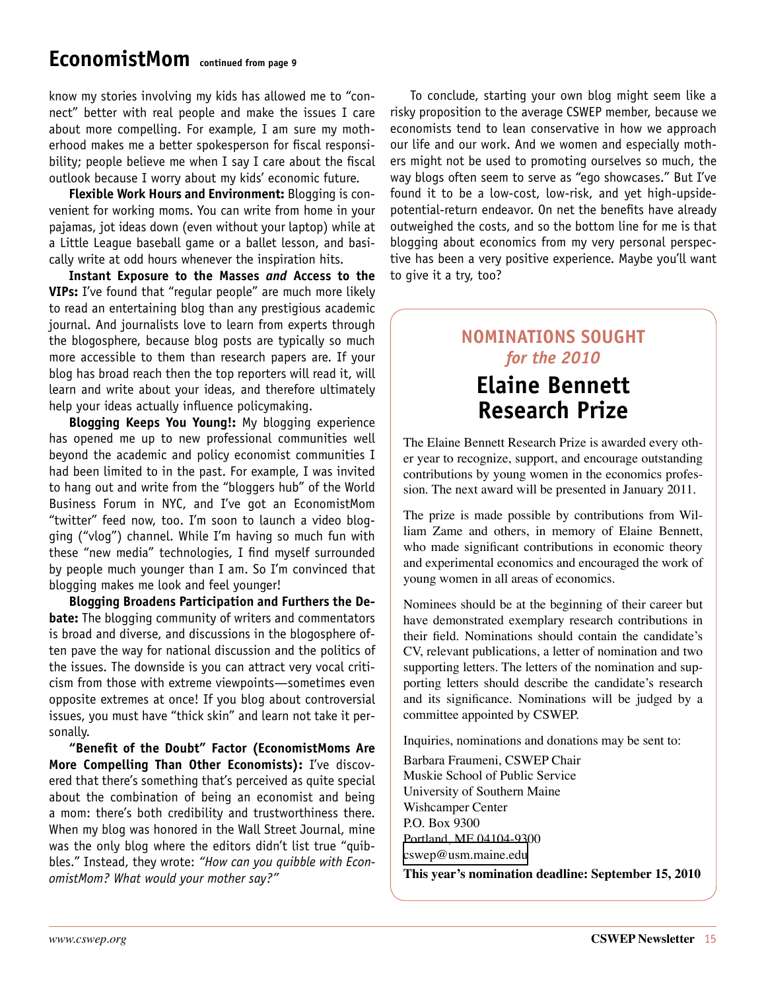### <span id="page-14-1"></span>**EconomistMom continued from page 9**

know my stories involving my kids has allowed me to "connect" better with real people and make the issues I care about more compelling. For example, I am sure my motherhood makes me a better spokesperson for fiscal responsibility; people believe me when I say I care about the fiscal outlook because I worry about my kids' economic future.

**Flexible Work Hours and Environment:** Blogging is convenient for working moms. You can write from home in your pajamas, jot ideas down (even without your laptop) while at a Little League baseball game or a ballet lesson, and basically write at odd hours whenever the inspiration hits.

**Instant Exposure to the Masses** *and* **Access to the VIPs:** I've found that "regular people" are much more likely to read an entertaining blog than any prestigious academic journal. And journalists love to learn from experts through the blogosphere, because blog posts are typically so much more accessible to them than research papers are. If your blog has broad reach then the top reporters will read it, will learn and write about your ideas, and therefore ultimately help your ideas actually influence policymaking.

**Blogging Keeps You Young!:** My blogging experience has opened me up to new professional communities well beyond the academic and policy economist communities I had been limited to in the past. For example, I was invited to hang out and write from the "bloggers hub" of the World Business Forum in NYC, and I've got an EconomistMom "twitter" feed now, too. I'm soon to launch a video blogging ("vlog") channel. While I'm having so much fun with these "new media" technologies, I find myself surrounded by people much younger than I am. So I'm convinced that blogging makes me look and feel younger!

**Blogging Broadens Participation and Furthers the Debate:** The blogging community of writers and commentators is broad and diverse, and discussions in the blogosphere often pave the way for national discussion and the politics of the issues. The downside is you can attract very vocal criticism from those with extreme viewpoints—sometimes even opposite extremes at once! If you blog about controversial issues, you must have "thick skin" and learn not take it personally.

**"Benefit of the Doubt" Factor (EconomistMoms Are More Compelling Than Other Economists):** I've discovered that there's something that's perceived as quite special about the combination of being an economist and being a mom: there's both credibility and trustworthiness there. When my blog was honored in the Wall Street Journal, mine was the only blog where the editors didn't list true "quibbles." Instead, they wrote: *"How can you quibble with EconomistMom? What would your mother say?"*

To conclude, starting your own blog might seem like a risky proposition to the average CSWEP member, because we economists tend to lean conservative in how we approach our life and our work. And we women and especially mothers might not be used to promoting ourselves so much, the way blogs often seem to serve as "ego showcases." But I've found it to be a low-cost, low-risk, and yet high-upsidepotential-return endeavor. On net the benefits have already outweighed the costs, and so the bottom line for me is that blogging about economics from my very personal perspective has been a very positive experience. Maybe you'll want to give it a try, too?

### <span id="page-14-0"></span>**Nominations Sought**  *for the 2010*

### **Elaine Bennett Research Prize**

The Elaine Bennett Research Prize is awarded every other year to recognize, support, and encourage outstanding contributions by young women in the economics profession. The next award will be presented in January 2011.

The prize is made possible by contributions from William Zame and others, in memory of Elaine Bennett, who made significant contributions in economic theory and experimental economics and encouraged the work of young women in all areas of economics.

Nominees should be at the beginning of their career but have demonstrated exemplary research contributions in their field. Nominations should contain the candidate's CV, relevant publications, a letter of nomination and two supporting letters. The letters of the nomination and supporting letters should describe the candidate's research and its significance. Nominations will be judged by a committee appointed by CSWEP.

Inquiries, nominations and donations may be sent to:

Barbara Fraumeni, CSWEP Chair Muskie School of Public Service University of Southern Maine Wishcamper Center P.O. Box 9300 Portland, ME 04104-9300 [cswep@usm.maine.edu](mailto:cswep@usm.maine.edu)

**This year's nomination deadline: September 15, 2010**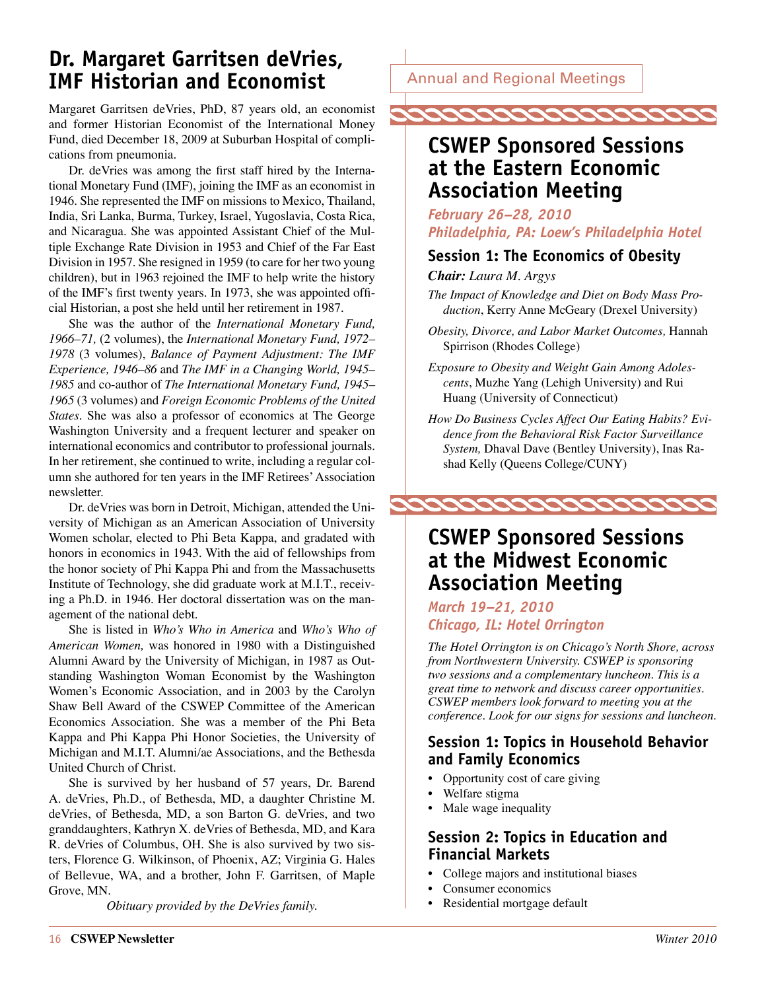### <span id="page-15-0"></span>**Dr. Margaret Garritsen deVries, IMF Historian and Economist**

Margaret Garritsen deVries, PhD, 87 years old, an economist and former Historian Economist of the International Money Fund, died December 18, 2009 at Suburban Hospital of complications from pneumonia.

Dr. deVries was among the first staff hired by the International Monetary Fund (IMF), joining the IMF as an economist in 1946. She represented the IMF on missions to Mexico, Thailand, India, Sri Lanka, Burma, Turkey, Israel, Yugoslavia, Costa Rica, and Nicaragua. She was appointed Assistant Chief of the Multiple Exchange Rate Division in 1953 and Chief of the Far East Division in 1957. She resigned in 1959 (to care for her two young children), but in 1963 rejoined the IMF to help write the history of the IMF's first twenty years. In 1973, she was appointed official Historian, a post she held until her retirement in 1987.

She was the author of the *International Monetary Fund, 1966–71,* (2 volumes), the *International Monetary Fund, 1972– 1978* (3 volumes), *Balance of Payment Adjustment: The IMF Experience, 1946–86* and *The IMF in a Changing World, 1945– 1985* and co-author of *The International Monetary Fund, 1945– 1965* (3 volumes) and *Foreign Economic Problems of the United States.* She was also a professor of economics at The George Washington University and a frequent lecturer and speaker on international economics and contributor to professional journals. In her retirement, she continued to write, including a regular column she authored for ten years in the IMF Retirees' Association newsletter.

Dr. deVries was born in Detroit, Michigan, attended the University of Michigan as an American Association of University Women scholar, elected to Phi Beta Kappa, and gradated with honors in economics in 1943. With the aid of fellowships from the honor society of Phi Kappa Phi and from the Massachusetts Institute of Technology, she did graduate work at M.I.T., receiving a Ph.D. in 1946. Her doctoral dissertation was on the management of the national debt.

She is listed in *Who's Who in America* and *Who's Who of American Women,* was honored in 1980 with a Distinguished Alumni Award by the University of Michigan, in 1987 as Outstanding Washington Woman Economist by the Washington Women's Economic Association, and in 2003 by the Carolyn Shaw Bell Award of the CSWEP Committee of the American Economics Association. She was a member of the Phi Beta Kappa and Phi Kappa Phi Honor Societies, the University of Michigan and M.I.T. Alumni/ae Associations, and the Bethesda United Church of Christ.

She is survived by her husband of 57 years, Dr. Barend A. deVries, Ph.D., of Bethesda, MD, a daughter Christine M. deVries, of Bethesda, MD, a son Barton G. deVries, and two granddaughters, Kathryn X. deVries of Bethesda, MD, and Kara R. deVries of Columbus, OH. She is also survived by two sisters, Florence G. Wilkinson, of Phoenix, AZ; Virginia G. Hales of Bellevue, WA, and a brother, John F. Garritsen, of Maple Grove, MN.

*Obituary provided by the DeVries family.*

Annual and Regional Meetings



### <span id="page-15-1"></span>**CSWEP Sponsored Sessions at the Eastern Economic Association Meeting**

*February 26–28, 2010 Philadelphia, PA: Loew's Philadelphia Hotel*

### **Session 1: The Economics of Obesity**

*Chair: Laura M. Argys*

- *The Impact of Knowledge and Diet on Body Mass Production*, Kerry Anne McGeary (Drexel University)
- *Obesity, Divorce, and Labor Market Outcomes,* Hannah Spirrison (Rhodes College)
- *Exposure to Obesity and Weight Gain Among Adolescents*, Muzhe Yang (Lehigh University) and Rui Huang (University of Connecticut)
- *How Do Business Cycles Affect Our Eating Habits? Evidence from the Behavioral Risk Factor Surveillance System,* Dhaval Dave (Bentley University), Inas Rashad Kelly (Queens College/CUNY)



### <span id="page-15-2"></span>**CSWEP Sponsored Sessions at the Midwest Economic Association Meeting**

### *March 19–21, 2010 Chicago, IL: Hotel Orrington*

*The Hotel Orrington is on Chicago's North Shore, across from Northwestern University. CSWEP is sponsoring two sessions and a complementary luncheon. This is a great time to network and discuss career opportunities. CSWEP members look forward to meeting you at the conference. Look for our signs for sessions and luncheon.*

### **Session 1: Topics in Household Behavior and Family Economics**

- Opportunity cost of care giving
- Welfare stigma
- Male wage inequality

### **Session 2: Topics in Education and Financial Markets**

- College majors and institutional biases
- Consumer economics
- Residential mortgage default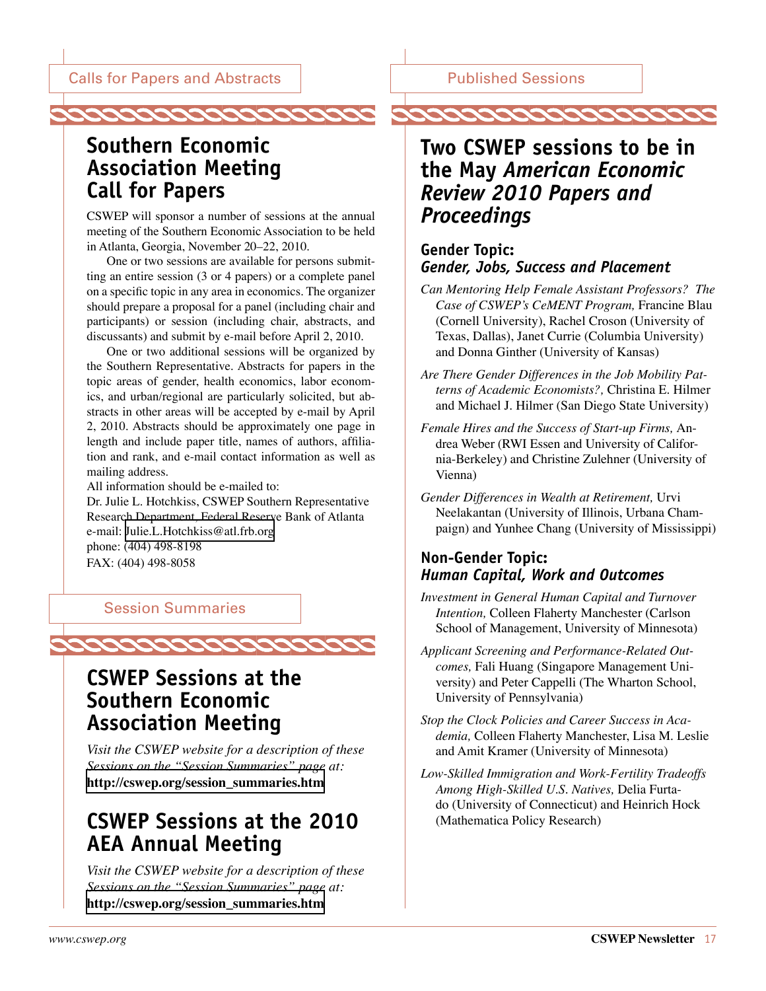### <span id="page-16-1"></span>Published Sessions

### <span id="page-16-0"></span>**Southern Economic Association Meeting Call for Papers**

CSWEP will sponsor a number of sessions at the annual meeting of the Southern Economic Association to be held in Atlanta, Georgia, November 20–22, 2010.

One or two sessions are available for persons submitting an entire session (3 or 4 papers) or a complete panel on a specific topic in any area in economics. The organizer should prepare a proposal for a panel (including chair and participants) or session (including chair, abstracts, and discussants) and submit by e-mail before April 2, 2010.

One or two additional sessions will be organized by the Southern Representative. Abstracts for papers in the topic areas of gender, health economics, labor economics, and urban/regional are particularly solicited, but abstracts in other areas will be accepted by e-mail by April 2, 2010. Abstracts should be approximately one page in length and include paper title, names of authors, affiliation and rank, and e-mail contact information as well as mailing address.

All information should be e-mailed to:

Dr. Julie L. Hotchkiss, CSWEP Southern Representative Research Department, Federal Reserve Bank of Atlanta e-mail: [Julie.L.Hotchkiss@atl.frb.org](mailto:Julie.L.Hotchkiss@atl.frb.org) phone: (404) 498-8198 FAX: (404) 498-8058

2222222222222222222

#### Session Summaries



*Visit the CSWEP website for a description of these Sessions on the "Session Summaries" page at:*  **[http://cswep.org/session\\_summaries.htm](http://cswep.org/session_summaries.htm)** 

### **CSWEP Sessions at the 2010 AEA Annual Meeting**

*Visit the CSWEP website for a description of these Sessions on the "Session Summaries" page at:*  **[http://cswep.org/session\\_summaries.htm](http://cswep.org/session_summaries.htm)** 

### **Two CSWEP sessions to be in the May** *American Economic Review 2010 Papers and Proceedings*

### **Gender Topic:**  *Gender, Jobs, Success and Placement*

- *Can Mentoring Help Female Assistant Professors? The Case of CSWEP's CeMENT Program,* Francine Blau (Cornell University), Rachel Croson (University of Texas, Dallas), Janet Currie (Columbia University) and Donna Ginther (University of Kansas)
- *Are There Gender Differences in the Job Mobility Patterns of Academic Economists?,* Christina E. Hilmer and Michael J. Hilmer (San Diego State University)
- *Female Hires and the Success of Start-up Firms,* Andrea Weber (RWI Essen and University of California-Berkeley) and Christine Zulehner (University of Vienna)
- *Gender Differences in Wealth at Retirement,* Urvi Neelakantan (University of Illinois, Urbana Champaign) and Yunhee Chang (University of Mississippi)

### **Non-Gender Topic:**  *Human Capital, Work and Outcomes*

- *Investment in General Human Capital and Turnover Intention,* Colleen Flaherty Manchester (Carlson School of Management, University of Minnesota)
- *Applicant Screening and Performance-Related Outcomes,* Fali Huang (Singapore Management University) and Peter Cappelli (The Wharton School, University of Pennsylvania)
- *Stop the Clock Policies and Career Success in Academia,* Colleen Flaherty Manchester, Lisa M. Leslie and Amit Kramer (University of Minnesota)
- *Low-Skilled Immigration and Work-Fertility Tradeoffs Among High-Skilled U.S. Natives,* Delia Furtado (University of Connecticut) and Heinrich Hock (Mathematica Policy Research)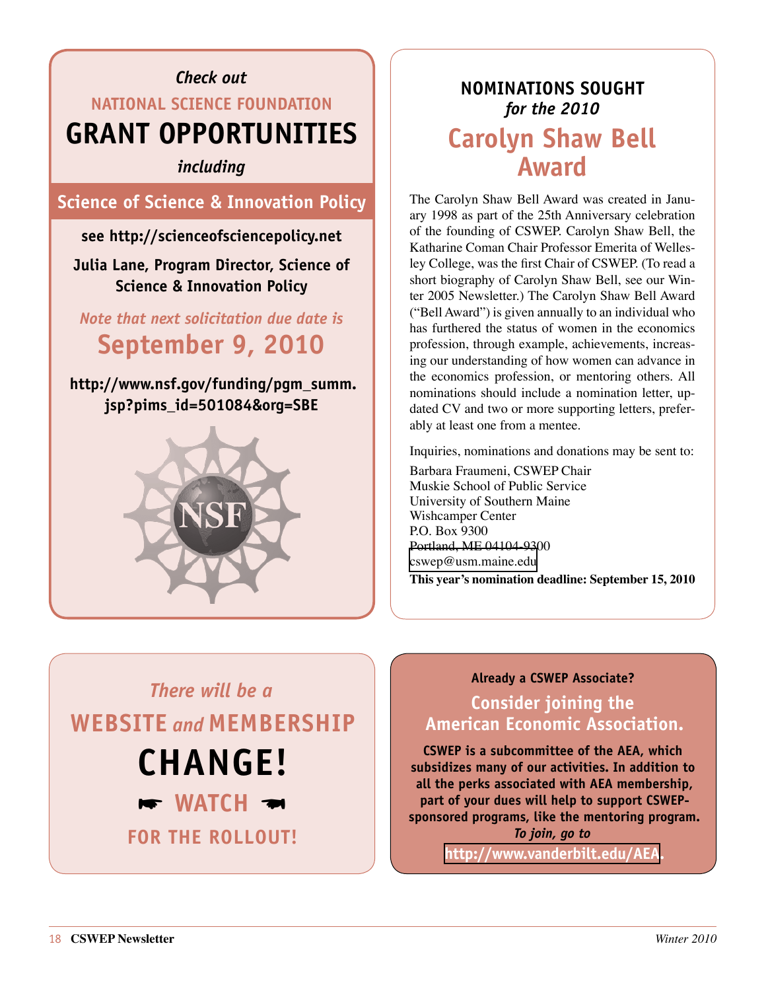## *Check out*  **National science foundation grant opportunities**

*including* 

**Science of Science & Innovation Policy**

**see<http://scienceofsciencepolicy.net>**

**Julia Lane, Program Director, Science of Science & Innovation Policy**

*Note that next solicitation due date is*  **September 9, 2010**

**[http://www.nsf.gov/funding/pgm\\_summ.](http://www.nsf.gov/funding/pgm_summ.jsp?pims_id=501084&org=SBE) [jsp?pims\\_id=501084&org=SBE](http://www.nsf.gov/funding/pgm_summ.jsp?pims_id=501084&org=SBE)**



### <span id="page-17-0"></span>**Nominations Sought**  *for the 2010*  **Carolyn Shaw Bell Award**

The Carolyn Shaw Bell Award was created in January 1998 as part of the 25th Anniversary celebration of the founding of CSWEP. Carolyn Shaw Bell, the Katharine Coman Chair Professor Emerita of Wellesley College, was the first Chair of CSWEP. (To read a short biography of Carolyn Shaw Bell, see our Winter 2005 Newsletter.) The Carolyn Shaw Bell Award ("Bell Award") is given annually to an individual who has furthered the status of women in the economics profession, through example, achievements, increasing our understanding of how women can advance in the economics profession, or mentoring others. All nominations should include a nomination letter, updated CV and two or more supporting letters, preferably at least one from a mentee.

Inquiries, nominations and donations may be sent to:

Barbara Fraumeni, CSWEP Chair Muskie School of Public Service University of Southern Maine Wishcamper Center P.O. Box 9300 Portland, ME 04104-9300 [cswep@usm.maine.edu](mailto:cswep@usm.maine.edu)

**This year's nomination deadline: September 15, 2010**

# *There will be a*  **website** *and* **membership change!**   $\blacktriangleright$  WATCH  $\blacktriangleright$ **for the Rollout!**

### **Already a CSWEP Associate?**

### **Consider joining the American Economic Association.**

**CSWEP is a subcommittee of the AEA, which subsidizes many of our activities. In addition to all the perks associated with AEA membership, part of your dues will help to support CSWEPsponsored programs, like the mentoring program.**  *To join, go to*

**[http://www.vanderbilt.edu/AEA.](http://www.vanderbilt.edu/AEA)**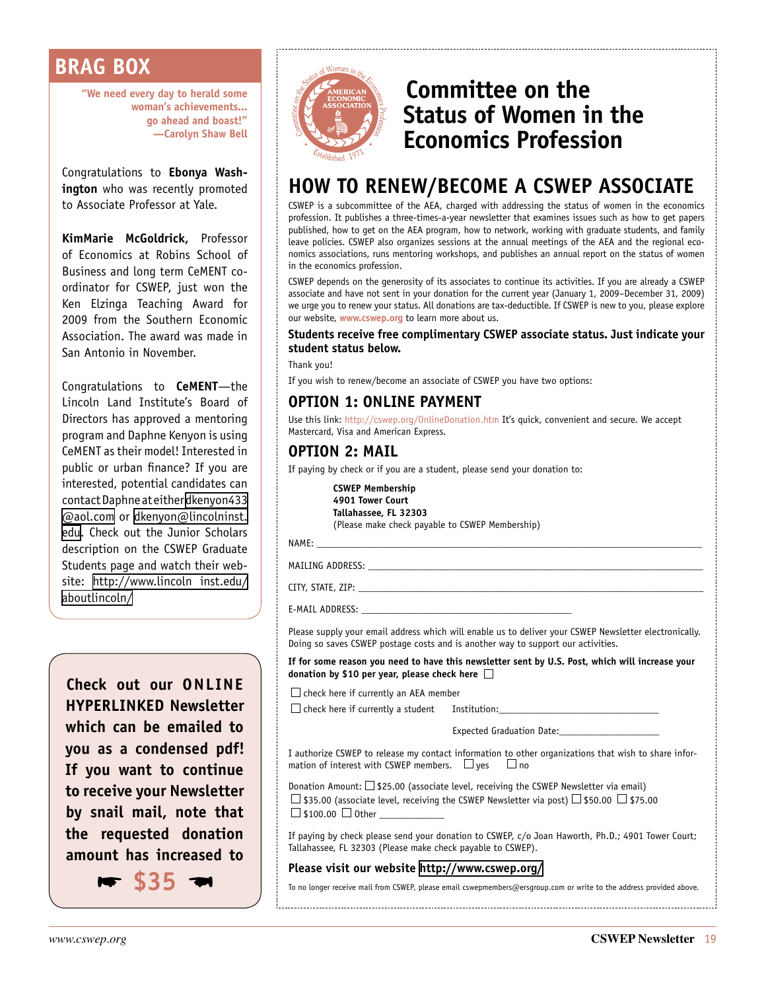### <span id="page-18-0"></span>**BRAG BOX**

**"We need every day to herald some woman's achievements... go ahead and boast!" —Carolyn Shaw Bell**

Congratulations to **Ebonya Washington** who was recently promoted to Associate Professor at Yale.

**KimMarie McGoldrick,** Professor of Economics at Robins School of Business and long term CeMENT coordinator for CSWEP, just won the Ken Elzinga Teaching Award for 2009 from the Southern Economic Association. The award was made in San Antonio in November.

Congratulations to **CeMENT**—the Lincoln Land Institute's Board of Directors has approved a mentoring program and Daphne Kenyon is using CeMENT as their model! Interested in public or urban finance? If you are interested, potential candidates can contact Daphne at either [dkenyon433](mailto:dkenyon433@aol.com) [@aol.com](mailto:dkenyon433@aol.com) or [dkenyon@lincolninst.](mailto:dkenyon@lincolninst.edu) [edu](mailto:dkenyon@lincolninst.edu). Check out the Junior Scholars description on the CSWEP Graduate Students page and watch their website: [http://www.lincoln inst.edu/](http://www.lincolninst.edu/aboutlincoln/) [aboutlincoln/](http://www.lincolninst.edu/aboutlincoln/)

**Check out our online hyperlinked Newsletter which can be emailed to you as a condensed pdf! If you want to continue to receive your Newsletter by snail mail, note that the requested donation amount has increased to** 

 $\blacktriangleright$  \$35  $\blacktriangleright$ 



### <span id="page-18-1"></span>**Committee on the Status of Women in the Economics Profession**

### **HOW TO RENEW/BECOME A CSWEP ASSOCIATE**

CSWEP is a subcommittee of the AEA, charged with addressing the status of women in the economics profession. It publishes a three-times-a-year newsletter that examines issues such as how to get papers published, how to get on the AEA program, how to network, working with graduate students, and family leave policies. CSWEP also organizes sessions at the annual meetings of the AEA and the regional economics associations, runs mentoring workshops, and publishes an annual report on the status of women in the economics profession.

CSWEP depends on the generosity of its associates to continue its activities. If you are already a CSWEP associate and have not sent in your donation for the current year (January 1, 2009–December 31, 2009) we urge you to renew your status. All donations are tax-deductible. If CSWEP is new to you, please explore our website, **[www.cswep.org](http://www.cswep.org)** to learn more about us.

#### **Students receive free complimentary CSWEP associate status. Just indicate your student status below.**

Thank you!

If you wish to renew/become an associate of CSWEP you have two options:

### **OPTION 1: ONLINE PAYMENT**

Use this link: <http://cswep.org/OnlineDonation.htm> It's quick, convenient and secure. We accept Mastercard, Visa and American Express.

### **OPTION 2: MAIL**

If paying by check or if you are a student, please send your donation to:

**CSWEP Membership 4901 Tower Court Tallahassee, FL 32303** (Please make check payable to CSWEP Membership)

NAME: \_\_\_\_\_\_\_\_\_\_\_\_\_\_\_\_\_\_\_\_\_\_\_\_\_\_\_\_\_\_\_\_\_\_\_\_\_\_\_\_\_\_\_\_\_\_\_\_\_\_\_\_\_\_\_\_\_\_\_\_\_\_\_\_\_\_\_\_\_\_\_\_\_\_\_\_\_

MAILING ADDRESS:

CITY, STATE, ZIP:

E-MAIL ADDRESS:

Please supply your email address which will enable us to deliver your CSWEP Newsletter electronically. Doing so saves CSWEP postage costs and is another way to support our activities.

**If for some reason you need to have this newsletter sent by U.S. Post, which will increase your donation by \$10 per year, please check here** 

 $\Box$  check here if currently an AEA member

 $\square$  check here if currently a student Institution:

Expected Graduation Date:

I authorize CSWEP to release my contact information to other organizations that wish to share information of interest with CSWEP members.  $\Box$  yes  $\Box$  no

Donation Amount:  $\Box$  \$25.00 (associate level, receiving the CSWEP Newsletter via email)  $\Box$  \$35.00 (associate level, receiving the CSWEP Newsletter via post)  $\Box$  \$50.00  $\Box$  \$75.00  $\Box$  \$100.00  $\Box$  Other

If paying by check please send your donation to CSWEP, c/o Joan Haworth, Ph.D.; 4901 Tower Court; Tallahassee, FL 32303 (Please make check payable to CSWEP).

#### **Please visit our website <http://www.cswep.org/>**

To no longer receive mail from CSWEP, please email cswepmembers@ersgroup.com or write to the address provided above.